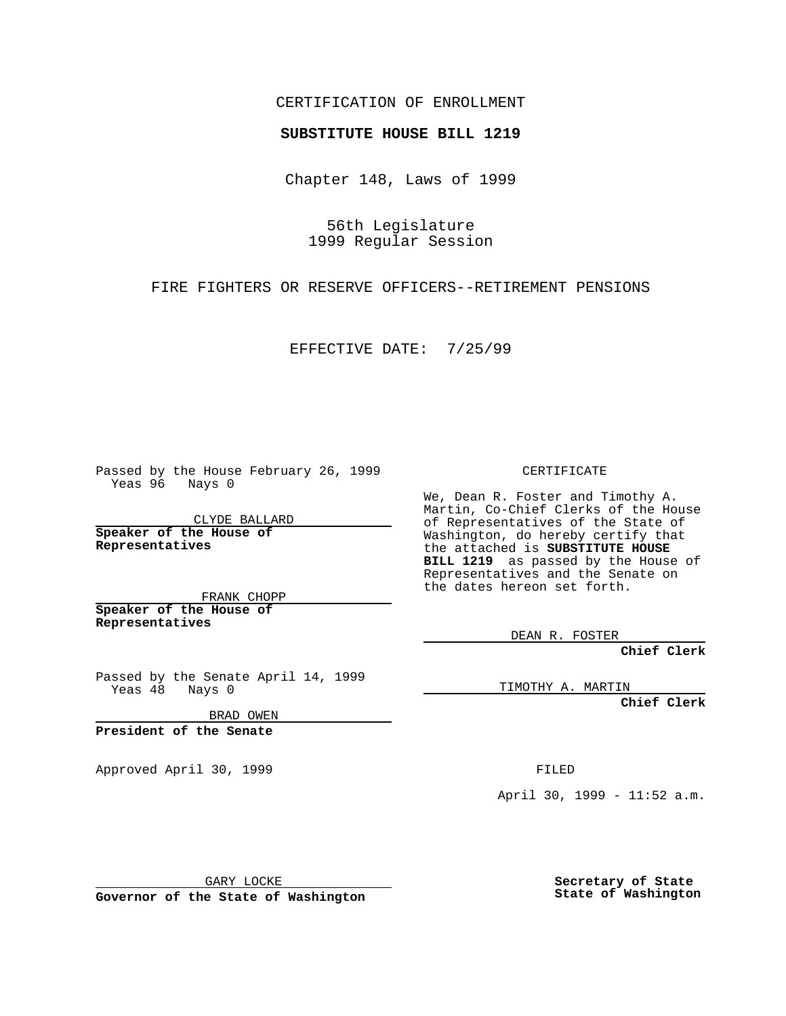CERTIFICATION OF ENROLLMENT

## **SUBSTITUTE HOUSE BILL 1219**

Chapter 148, Laws of 1999

56th Legislature 1999 Regular Session

FIRE FIGHTERS OR RESERVE OFFICERS--RETIREMENT PENSIONS

EFFECTIVE DATE: 7/25/99

Passed by the House February 26, 1999 Yeas 96 Nays 0

CLYDE BALLARD **Speaker of the House of Representatives**

FRANK CHOPP **Speaker of the House of Representatives**

Passed by the Senate April 14, 1999<br>Yeas 48 Nays 0  $Yeas 48$ 

BRAD OWEN

**President of the Senate**

Approved April 30, 1999 **FILED** 

## CERTIFICATE

We, Dean R. Foster and Timothy A. Martin, Co-Chief Clerks of the House of Representatives of the State of Washington, do hereby certify that the attached is **SUBSTITUTE HOUSE BILL 1219** as passed by the House of Representatives and the Senate on the dates hereon set forth.

DEAN R. FOSTER

**Chief Clerk**

TIMOTHY A. MARTIN

**Chief Clerk**

April 30, 1999 - 11:52 a.m.

GARY LOCKE

**Governor of the State of Washington**

**Secretary of State State of Washington**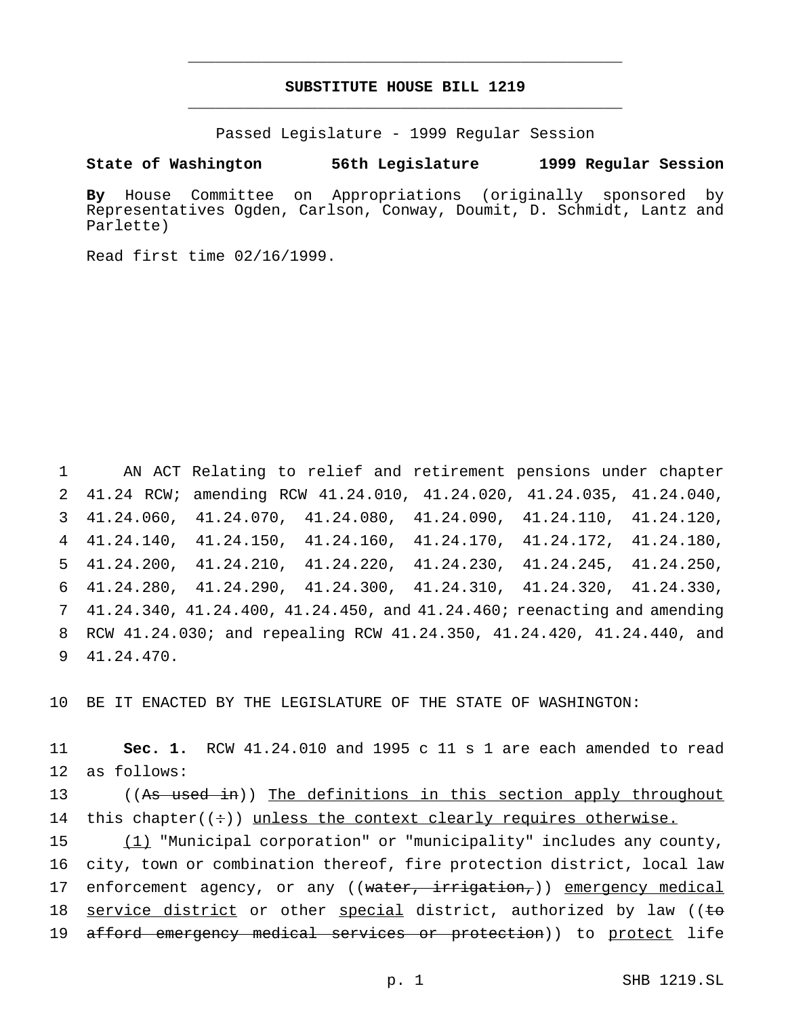## **SUBSTITUTE HOUSE BILL 1219** \_\_\_\_\_\_\_\_\_\_\_\_\_\_\_\_\_\_\_\_\_\_\_\_\_\_\_\_\_\_\_\_\_\_\_\_\_\_\_\_\_\_\_\_\_\_\_

\_\_\_\_\_\_\_\_\_\_\_\_\_\_\_\_\_\_\_\_\_\_\_\_\_\_\_\_\_\_\_\_\_\_\_\_\_\_\_\_\_\_\_\_\_\_\_

Passed Legislature - 1999 Regular Session

**State of Washington 56th Legislature 1999 Regular Session**

**By** House Committee on Appropriations (originally sponsored by Representatives Ogden, Carlson, Conway, Doumit, D. Schmidt, Lantz and Parlette)

Read first time 02/16/1999.

 AN ACT Relating to relief and retirement pensions under chapter 41.24 RCW; amending RCW 41.24.010, 41.24.020, 41.24.035, 41.24.040, 41.24.060, 41.24.070, 41.24.080, 41.24.090, 41.24.110, 41.24.120, 41.24.140, 41.24.150, 41.24.160, 41.24.170, 41.24.172, 41.24.180, 41.24.200, 41.24.210, 41.24.220, 41.24.230, 41.24.245, 41.24.250, 41.24.280, 41.24.290, 41.24.300, 41.24.310, 41.24.320, 41.24.330, 41.24.340, 41.24.400, 41.24.450, and 41.24.460; reenacting and amending RCW 41.24.030; and repealing RCW 41.24.350, 41.24.420, 41.24.440, and 41.24.470.

10 BE IT ENACTED BY THE LEGISLATURE OF THE STATE OF WASHINGTON:

11 **Sec. 1.** RCW 41.24.010 and 1995 c 11 s 1 are each amended to read 12 as follows:

13 ((As used in)) The definitions in this section apply throughout 14 this chapter( $(\div)$ ) unless the context clearly requires otherwise.

15 (1) "Municipal corporation" or "municipality" includes any county, 16 city, town or combination thereof, fire protection district, local law 17 enforcement agency, or any ((water, irrigation,)) emergency medical 18 service district or other special district, authorized by law ((to 19 afford emergency medical services or protection)) to protect life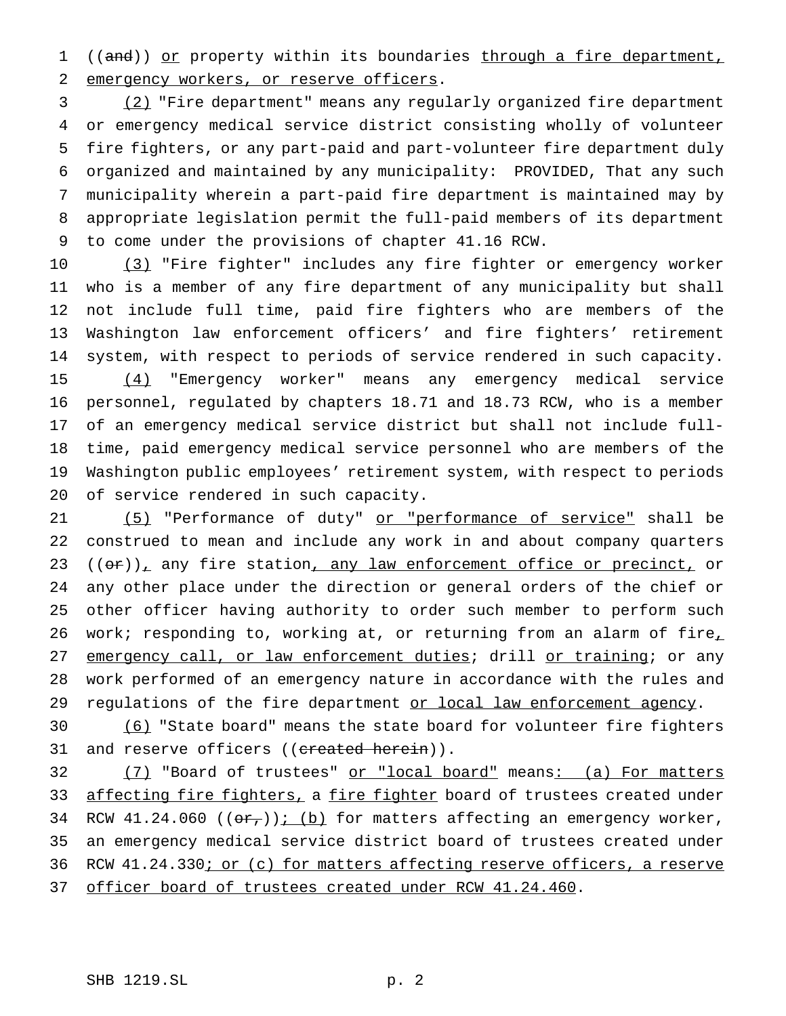1 ((and)) or property within its boundaries through a fire department, emergency workers, or reserve officers.

 (2) "Fire department" means any regularly organized fire department or emergency medical service district consisting wholly of volunteer fire fighters, or any part-paid and part-volunteer fire department duly organized and maintained by any municipality: PROVIDED, That any such municipality wherein a part-paid fire department is maintained may by appropriate legislation permit the full-paid members of its department to come under the provisions of chapter 41.16 RCW.

10 (3) "Fire fighter" includes any fire fighter or emergency worker who is a member of any fire department of any municipality but shall not include full time, paid fire fighters who are members of the Washington law enforcement officers' and fire fighters' retirement system, with respect to periods of service rendered in such capacity. (4) "Emergency worker" means any emergency medical service personnel, regulated by chapters 18.71 and 18.73 RCW, who is a member of an emergency medical service district but shall not include full- time, paid emergency medical service personnel who are members of the Washington public employees' retirement system, with respect to periods of service rendered in such capacity.

21 (5) "Performance of duty" or "performance of service" shall be construed to mean and include any work in and about company quarters (( $\theta$ r)), any fire station, any law enforcement office or precinct, or any other place under the direction or general orders of the chief or other officer having authority to order such member to perform such 26 work; responding to, working at, or returning from an alarm of fire $<sub>L</sub>$ </sub> 27 emergency call, or law enforcement duties; drill or training; or any work performed of an emergency nature in accordance with the rules and 29 regulations of the fire department or local law enforcement agency.

 (6) "State board" means the state board for volunteer fire fighters 31 and reserve officers ((created herein)).

32 (7) "Board of trustees" or "local board" means: (a) For matters 33 affecting fire fighters, a fire fighter board of trustees created under 34 RCW 41.24.060 (( $\Theta$ r<sub>r</sub>)); (b) for matters affecting an emergency worker, an emergency medical service district board of trustees created under 36 RCW 41.24.330; or (c) for matters affecting reserve officers, a reserve 37 officer board of trustees created under RCW 41.24.460.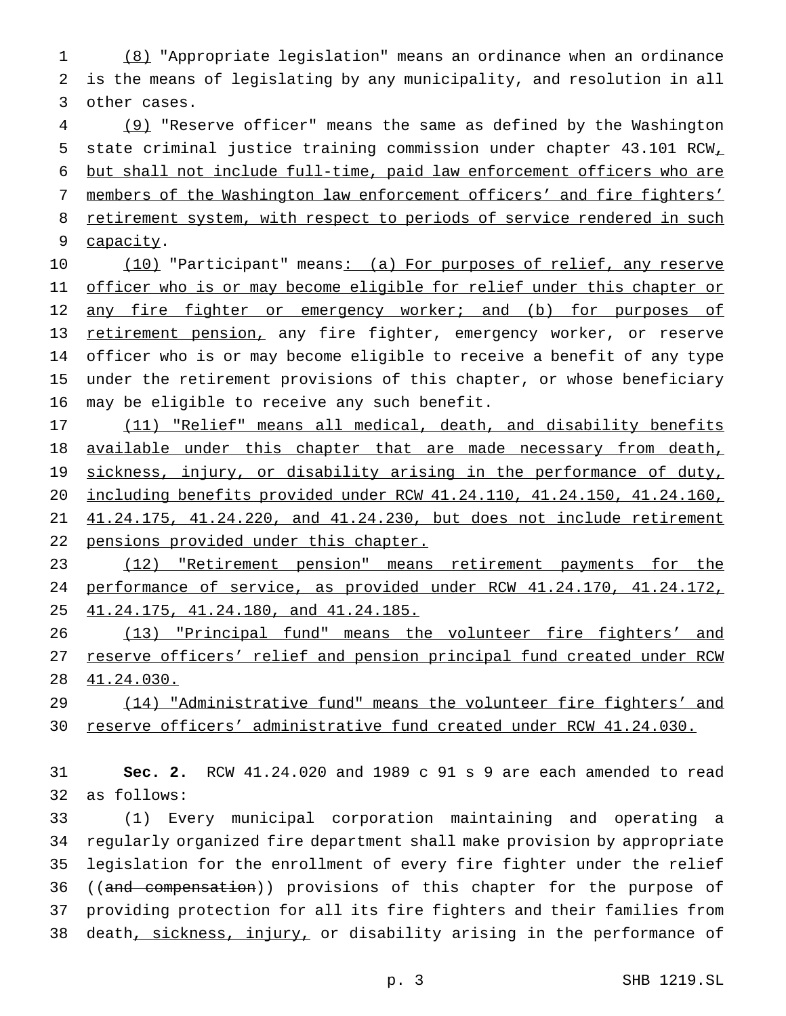(8) "Appropriate legislation" means an ordinance when an ordinance is the means of legislating by any municipality, and resolution in all other cases.

 (9) "Reserve officer" means the same as defined by the Washington state criminal justice training commission under chapter 43.101 RCW, but shall not include full-time, paid law enforcement officers who are members of the Washington law enforcement officers' and fire fighters' 8 retirement system, with respect to periods of service rendered in such capacity.

10 (10) "Participant" means: (a) For purposes of relief, any reserve 11 officer who is or may become eligible for relief under this chapter or 12 any fire fighter or emergency worker; and (b) for purposes of 13 retirement pension, any fire fighter, emergency worker, or reserve officer who is or may become eligible to receive a benefit of any type under the retirement provisions of this chapter, or whose beneficiary may be eligible to receive any such benefit.

17 (11) "Relief" means all medical, death, and disability benefits 18 available under this chapter that are made necessary from death, 19 sickness, injury, or disability arising in the performance of duty, including benefits provided under RCW 41.24.110, 41.24.150, 41.24.160, 41.24.175, 41.24.220, and 41.24.230, but does not include retirement pensions provided under this chapter.

 (12) "Retirement pension" means retirement payments for the performance of service, as provided under RCW 41.24.170, 41.24.172, 41.24.175, 41.24.180, and 41.24.185.

 (13) "Principal fund" means the volunteer fire fighters' and reserve officers' relief and pension principal fund created under RCW 41.24.030.

 (14) "Administrative fund" means the volunteer fire fighters' and reserve officers' administrative fund created under RCW 41.24.030.

 **Sec. 2.** RCW 41.24.020 and 1989 c 91 s 9 are each amended to read as follows:

 (1) Every municipal corporation maintaining and operating a regularly organized fire department shall make provision by appropriate legislation for the enrollment of every fire fighter under the relief 36 ((and compensation)) provisions of this chapter for the purpose of providing protection for all its fire fighters and their families from 38 death, sickness, injury, or disability arising in the performance of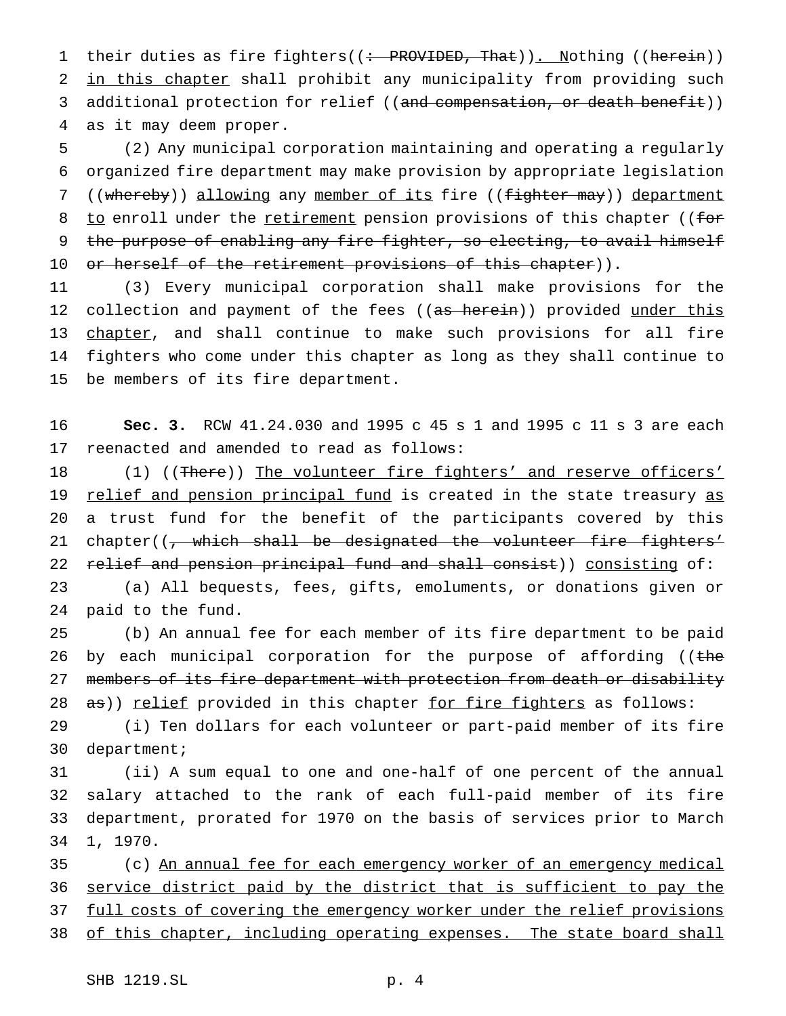1 their duties as fire fighters((: PROVIDED, That)). Nothing ((herein)) 2 in this chapter shall prohibit any municipality from providing such 3 additional protection for relief ((and compensation, or death benefit)) 4 as it may deem proper.

5 (2) Any municipal corporation maintaining and operating a regularly 6 organized fire department may make provision by appropriate legislation 7 ((whereby)) allowing any member of its fire ((fighter may)) department 8 to enroll under the retirement pension provisions of this chapter ((for 9 the purpose of enabling any fire fighter, so electing, to avail himself 10 or herself of the retirement provisions of this chapter)).

11 (3) Every municipal corporation shall make provisions for the 12 collection and payment of the fees ((as herein)) provided under this 13 chapter, and shall continue to make such provisions for all fire 14 fighters who come under this chapter as long as they shall continue to 15 be members of its fire department.

16 **Sec. 3.** RCW 41.24.030 and 1995 c 45 s 1 and 1995 c 11 s 3 are each 17 reenacted and amended to read as follows:

18 (1) ((There)) The volunteer fire fighters' and reserve officers' 19 relief and pension principal fund is created in the state treasury as 20 a trust fund for the benefit of the participants covered by this 21 chapter((, which shall be designated the volunteer fire fighters' 22 relief and pension principal fund and shall consist)) consisting of:

23 (a) All bequests, fees, gifts, emoluments, or donations given or 24 paid to the fund.

25 (b) An annual fee for each member of its fire department to be paid 26 by each municipal corporation for the purpose of affording ((the 27 members of its fire department with protection from death or disability 28 as)) relief provided in this chapter for fire fighters as follows:

29 (i) Ten dollars for each volunteer or part-paid member of its fire 30 department;

 (ii) A sum equal to one and one-half of one percent of the annual salary attached to the rank of each full-paid member of its fire department, prorated for 1970 on the basis of services prior to March 34 1, 1970.

35 (c) An annual fee for each emergency worker of an emergency medical 36 service district paid by the district that is sufficient to pay the 37 full costs of covering the emergency worker under the relief provisions 38 of this chapter, including operating expenses. The state board shall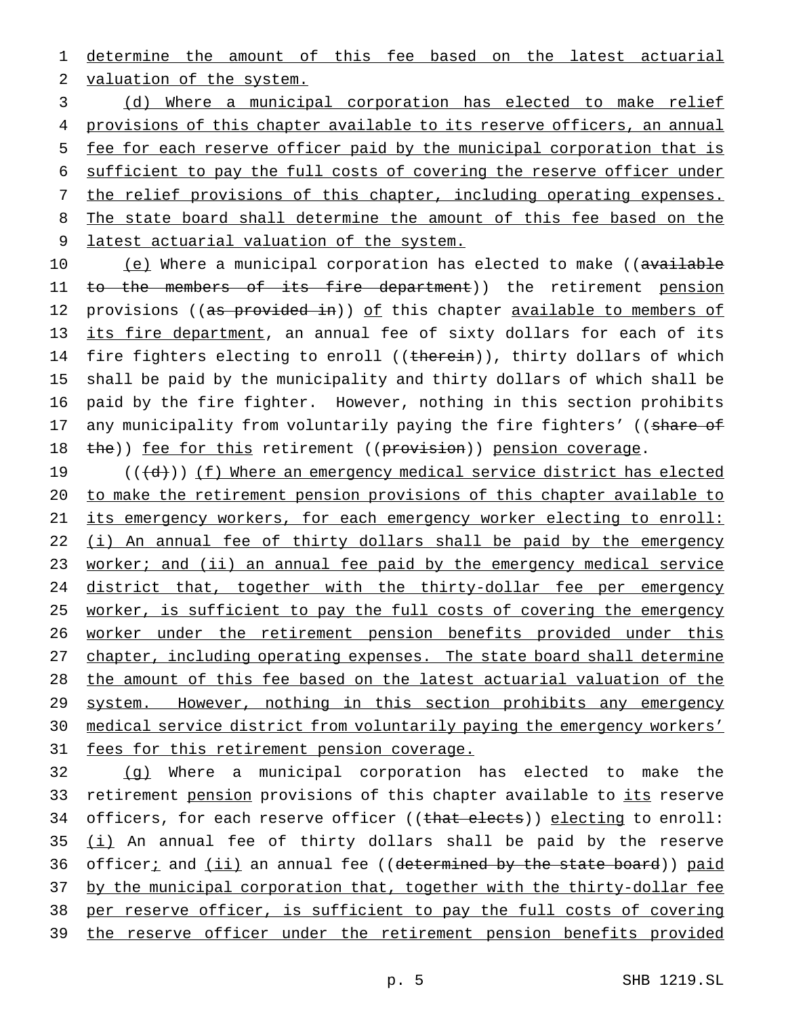1 determine the amount of this fee based on the latest actuarial 2 valuation of the system.

3 (d) Where a municipal corporation has elected to make relief 4 provisions of this chapter available to its reserve officers, an annual 5 fee for each reserve officer paid by the municipal corporation that is 6 sufficient to pay the full costs of covering the reserve officer under 7 the relief provisions of this chapter, including operating expenses. 8 The state board shall determine the amount of this fee based on the 9 latest actuarial valuation of the system.

10 (e) Where a municipal corporation has elected to make ((available 11 <del>to the members of its fire department</del>)) the retirement <u>pension</u> 12 provisions ((as provided in)) of this chapter available to members of 13 its fire department, an annual fee of sixty dollars for each of its 14 fire fighters electing to enroll ((therein)), thirty dollars of which 15 shall be paid by the municipality and thirty dollars of which shall be 16 paid by the fire fighter. However, nothing in this section prohibits 17 any municipality from voluntarily paying the fire fighters' ((share of 18 the)) fee for this retirement ((provision)) pension coverage.

19 (((d))) (f) Where an emergency medical service district has elected 20 to make the retirement pension provisions of this chapter available to 21 its emergency workers, for each emergency worker electing to enroll: 22 (i) An annual fee of thirty dollars shall be paid by the emergency 23 worker; and (ii) an annual fee paid by the emergency medical service 24 district that, together with the thirty-dollar fee per emergency 25 worker, is sufficient to pay the full costs of covering the emergency 26 worker under the retirement pension benefits provided under this 27 chapter, including operating expenses. The state board shall determine 28 the amount of this fee based on the latest actuarial valuation of the 29 system. However, nothing in this section prohibits any emergency 30 medical service district from voluntarily paying the emergency workers' 31 fees for this retirement pension coverage.

32 (g) Where a municipal corporation has elected to make the 33 retirement <u>pension</u> provisions of this chapter available to its reserve 34 officers, for each reserve officer ((that elects)) electing to enroll:  $35$   $(i)$  An annual fee of thirty dollars shall be paid by the reserve 36 officeri and (ii) an annual fee ((determined by the state board)) paid 37 by the municipal corporation that, together with the thirty-dollar fee 38 per reserve officer, is sufficient to pay the full costs of covering 39 the reserve officer under the retirement pension benefits provided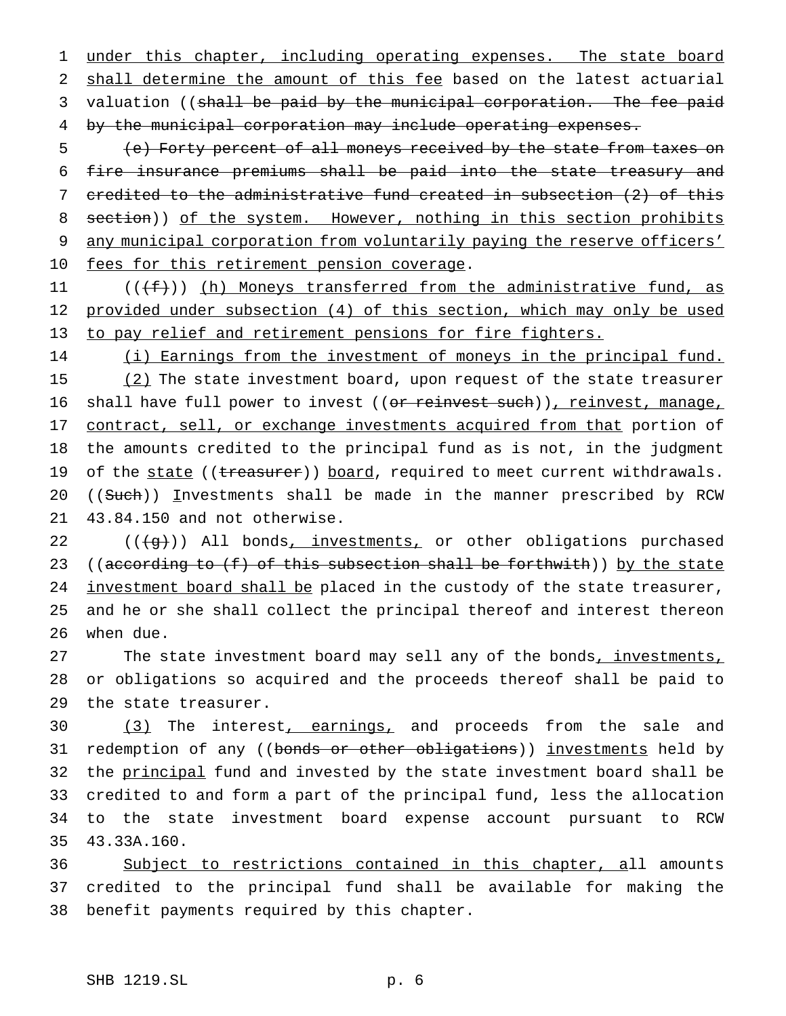1 under this chapter, including operating expenses. The state board 2 shall determine the amount of this fee based on the latest actuarial 3 valuation ((shall be paid by the municipal corporation. The fee paid 4 by the municipal corporation may include operating expenses.

 (e) Forty percent of all moneys received by the state from taxes on fire insurance premiums shall be paid into the state treasury and credited to the administrative fund created in subsection (2) of this 8 section)) of the system. However, nothing in this section prohibits any municipal corporation from voluntarily paying the reserve officers' 10 fees for this retirement pension coverage.

11  $((f+))$  (h) Moneys transferred from the administrative fund, as 12 provided under subsection (4) of this section, which may only be used 13 to pay relief and retirement pensions for fire fighters.

14 (i) Earnings from the investment of moneys in the principal fund. 15 (2) The state investment board, upon request of the state treasurer 16 shall have full power to invest ((or reinvest such)), reinvest, manage, 17 contract, sell, or exchange investments acquired from that portion of 18 the amounts credited to the principal fund as is not, in the judgment 19 of the state ((treasurer)) board, required to meet current withdrawals. 20 ((Such)) Investments shall be made in the manner prescribed by RCW 21 43.84.150 and not otherwise.

 $22$  ( $(\frac{1}{9})$ ) All bonds, investments, or other obligations purchased 23 ((according to  $(f)$  of this subsection shall be forthwith)) by the state 24 investment board shall be placed in the custody of the state treasurer, 25 and he or she shall collect the principal thereof and interest thereon 26 when due.

27 The state investment board may sell any of the bonds, investments, 28 or obligations so acquired and the proceeds thereof shall be paid to 29 the state treasurer.

30 (3) The interest, earnings, and proceeds from the sale and 31 redemption of any ((bonds or other obligations)) investments held by 32 the principal fund and invested by the state investment board shall be 33 credited to and form a part of the principal fund, less the allocation 34 to the state investment board expense account pursuant to RCW 35 43.33A.160.

36 Subject to restrictions contained in this chapter, all amounts 37 credited to the principal fund shall be available for making the 38 benefit payments required by this chapter.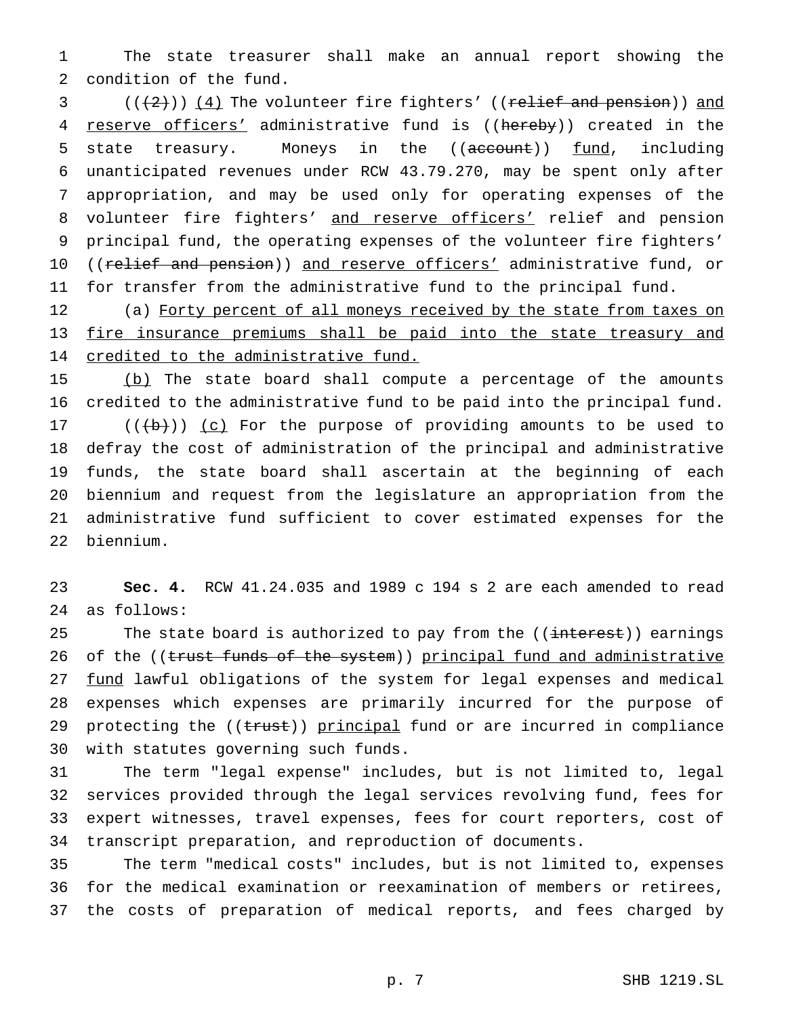The state treasurer shall make an annual report showing the condition of the fund.

 ( $(\frac{2}{3})$ ) (4) The volunteer fire fighters' ((relief and pension)) and 4 reserve officers' administrative fund is ((hereby)) created in the 5 state treasury. Moneys in the ((account)) fund, including unanticipated revenues under RCW 43.79.270, may be spent only after appropriation, and may be used only for operating expenses of the 8 volunteer fire fighters' and reserve officers' relief and pension principal fund, the operating expenses of the volunteer fire fighters' 10 ((relief and pension)) and reserve officers' administrative fund, or for transfer from the administrative fund to the principal fund.

12 (a) Forty percent of all moneys received by the state from taxes on 13 fire insurance premiums shall be paid into the state treasury and 14 credited to the administrative fund.

15 (b) The state board shall compute a percentage of the amounts credited to the administrative fund to be paid into the principal fund.  $((+b))$   $(c)$  For the purpose of providing amounts to be used to defray the cost of administration of the principal and administrative funds, the state board shall ascertain at the beginning of each biennium and request from the legislature an appropriation from the administrative fund sufficient to cover estimated expenses for the biennium.

 **Sec. 4.** RCW 41.24.035 and 1989 c 194 s 2 are each amended to read as follows:

25 The state board is authorized to pay from the ((interest)) earnings 26 of the ((trust funds of the system)) principal fund and administrative 27 fund lawful obligations of the system for legal expenses and medical expenses which expenses are primarily incurred for the purpose of 29 protecting the ((trust)) principal fund or are incurred in compliance with statutes governing such funds.

 The term "legal expense" includes, but is not limited to, legal services provided through the legal services revolving fund, fees for expert witnesses, travel expenses, fees for court reporters, cost of transcript preparation, and reproduction of documents.

 The term "medical costs" includes, but is not limited to, expenses for the medical examination or reexamination of members or retirees, the costs of preparation of medical reports, and fees charged by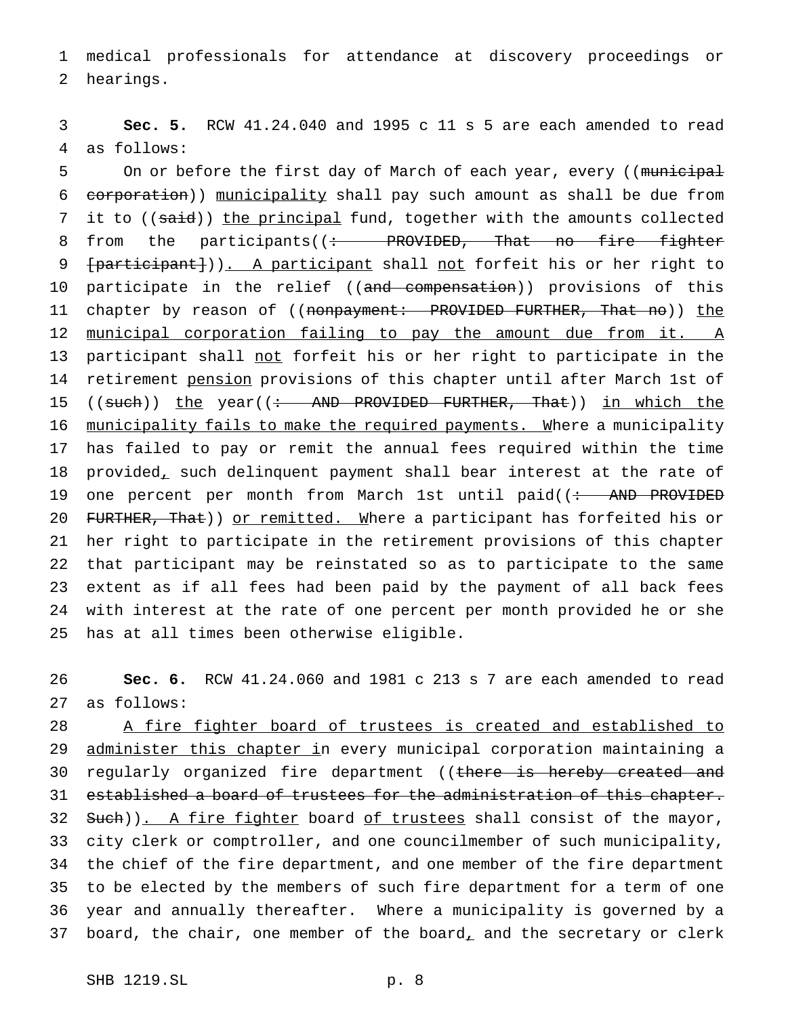1 medical professionals for attendance at discovery proceedings or 2 hearings.

3 **Sec. 5.** RCW 41.24.040 and 1995 c 11 s 5 are each amended to read 4 as follows:

5 On or before the first day of March of each year, every ((municipal 6 corporation)) municipality shall pay such amount as shall be due from 7 it to ((said)) the principal fund, together with the amounts collected 8 from the participants((: PROVIDED, That no fire fighter 9 [participant])). A participant shall not forfeit his or her right to 10 participate in the relief ((<del>and compensation</del>)) provisions of this 11 chapter by reason of ((nonpayment: PROVIDED FURTHER, That no)) the 12 municipal corporation failing to pay the amount due from it. A 13 participant shall not forfeit his or her right to participate in the 14 retirement pension provisions of this chapter until after March 1st of 15 ((such)) the year((: AND PROVIDED FURTHER, That)) in which the 16 municipality fails to make the required payments. Where a municipality 17 has failed to pay or remit the annual fees required within the time 18 provided, such delinquent payment shall bear interest at the rate of 19 one percent per month from March 1st until paid((: AND PROVIDED 20 FURTHER, That)) or remitted. Where a participant has forfeited his or 21 her right to participate in the retirement provisions of this chapter 22 that participant may be reinstated so as to participate to the same 23 extent as if all fees had been paid by the payment of all back fees 24 with interest at the rate of one percent per month provided he or she 25 has at all times been otherwise eligible.

26 **Sec. 6.** RCW 41.24.060 and 1981 c 213 s 7 are each amended to read 27 as follows:

28 A fire fighter board of trustees is created and established to 29 administer this chapter in every municipal corporation maintaining a 30 regularly organized fire department ((there is hereby created and 31 established a board of trustees for the administration of this chapter. 32 Such)). A fire fighter board of trustees shall consist of the mayor, 33 city clerk or comptroller, and one councilmember of such municipality, 34 the chief of the fire department, and one member of the fire department 35 to be elected by the members of such fire department for a term of one 36 year and annually thereafter. Where a municipality is governed by a 37 board, the chair, one member of the board, and the secretary or clerk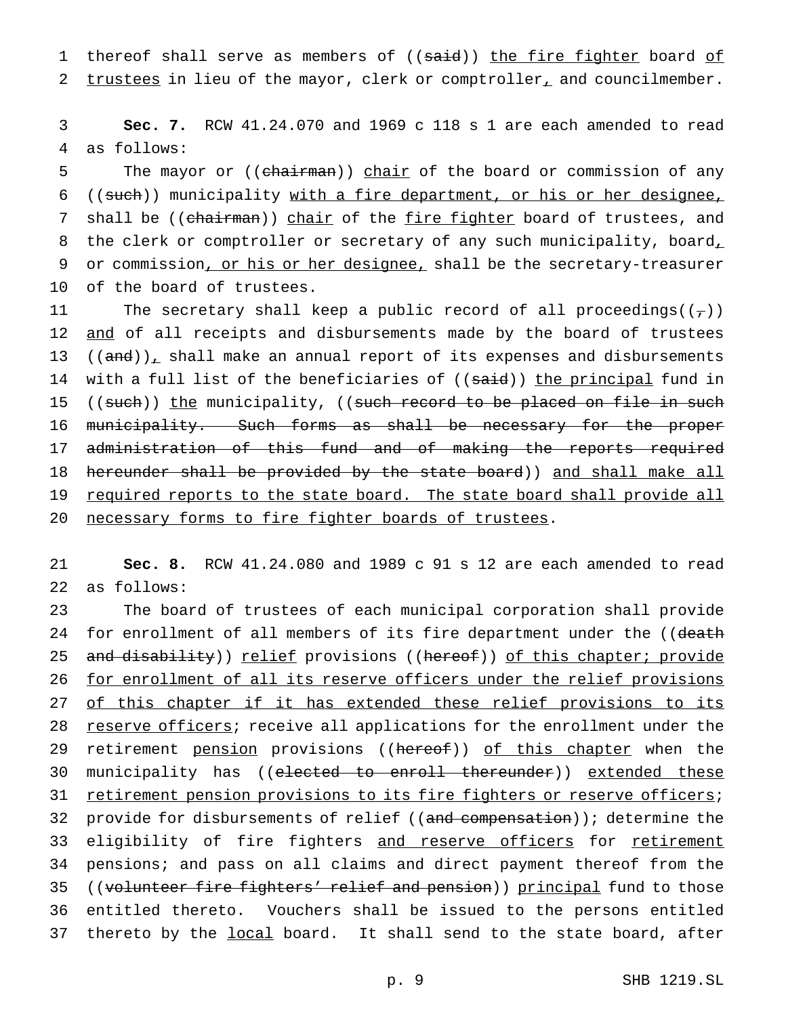1 thereof shall serve as members of ((said)) the fire fighter board of 2 trustees in lieu of the mayor, clerk or comptroller<sub>1</sub> and councilmember.

3 **Sec. 7.** RCW 41.24.070 and 1969 c 118 s 1 are each amended to read 4 as follows:

5 The mayor or ((chairman)) chair of the board or commission of any 6 ((such)) municipality with a fire department, or his or her designee, 7 shall be ((chairman)) chair of the fire fighter board of trustees, and 8 the clerk or comptroller or secretary of any such municipality, board, 9 or commission, or his or her designee, shall be the secretary-treasurer 10 of the board of trustees.

11 The secretary shall keep a public record of all proceedings( $(\tau)$ ) 12 and of all receipts and disbursements made by the board of trustees 13  $((and))_{\perp}$  shall make an annual report of its expenses and disbursements 14 with a full list of the beneficiaries of ((said)) the principal fund in 15 ((such)) the municipality, ((such record to be placed on file in such 16 municipality. Such forms as shall be necessary for the proper 17 administration of this fund and of making the reports required 18 hereunder shall be provided by the state board)) and shall make all 19 required reports to the state board. The state board shall provide all 20 necessary forms to fire fighter boards of trustees.

21 **Sec. 8.** RCW 41.24.080 and 1989 c 91 s 12 are each amended to read 22 as follows:

23 The board of trustees of each municipal corporation shall provide 24 for enrollment of all members of its fire department under the ((death 25 and disability)) relief provisions ((hereof)) of this chapter; provide 26 for enrollment of all its reserve officers under the relief provisions 27 of this chapter if it has extended these relief provisions to its 28 reserve officers; receive all applications for the enrollment under the 29 retirement pension provisions ((hereof)) of this chapter when the 30 municipality has ((elected to enroll thereunder)) extended these 31 retirement pension provisions to its fire fighters or reserve officers; 32 provide for disbursements of relief ((and compensation)); determine the 33 eligibility of fire fighters and reserve officers for retirement 34 pensions; and pass on all claims and direct payment thereof from the 35 ((volunteer fire fighters' relief and pension)) principal fund to those 36 entitled thereto. Vouchers shall be issued to the persons entitled 37 thereto by the local board. It shall send to the state board, after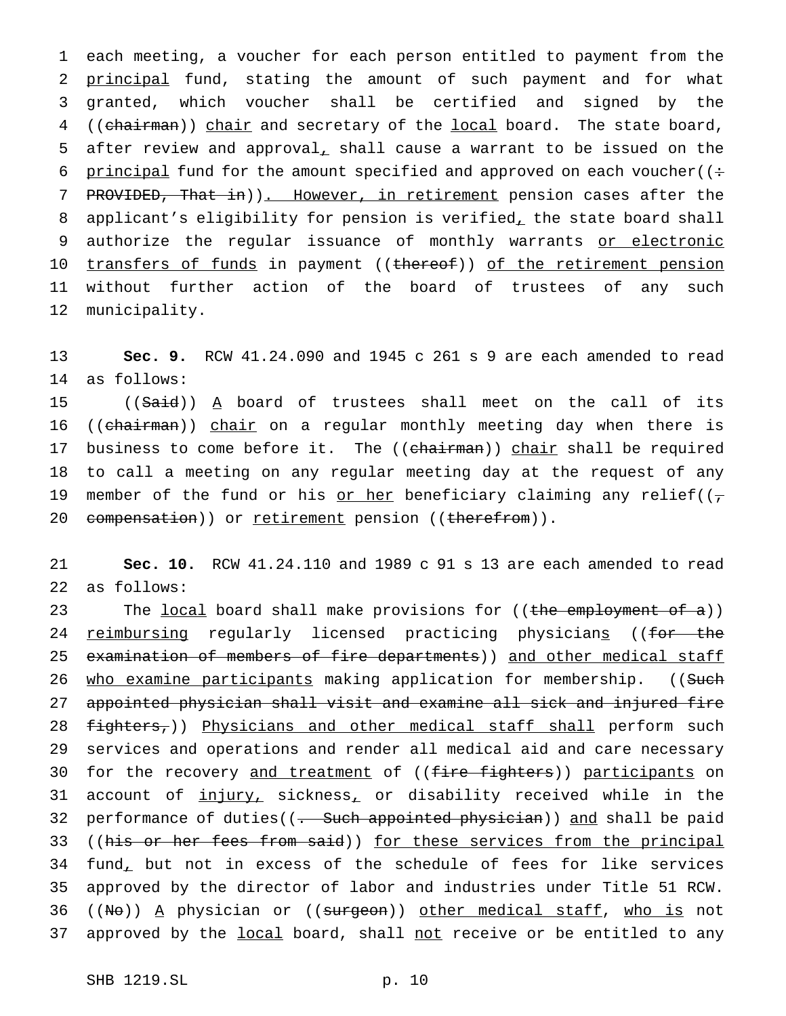1 each meeting, a voucher for each person entitled to payment from the 2 principal fund, stating the amount of such payment and for what 3 granted, which voucher shall be certified and signed by the 4 ((chairman)) chair and secretary of the local board. The state board, 5 after review and approval, shall cause a warrant to be issued on the 6 principal fund for the amount specified and approved on each voucher( $($ : 7 PROVIDED, That in)). However, in retirement pension cases after the 8 applicant's eligibility for pension is verified, the state board shall 9 authorize the regular issuance of monthly warrants or electronic 10 transfers of funds in payment ((thereof)) of the retirement pension 11 without further action of the board of trustees of any such 12 municipality.

13 **Sec. 9.** RCW 41.24.090 and 1945 c 261 s 9 are each amended to read 14 as follows:

15 ((Said)) A board of trustees shall meet on the call of its 16 ((chairman)) chair on a regular monthly meeting day when there is 17 business to come before it. The ((chairman)) chair shall be required 18 to call a meeting on any regular meeting day at the request of any 19 member of the fund or his or her beneficiary claiming any relief( $(\tau$ 20 compensation)) or retirement pension ((therefrom)).

21 **Sec. 10.** RCW 41.24.110 and 1989 c 91 s 13 are each amended to read 22 as follows:

23 The local board shall make provisions for ((the employment of a)) 24 reimbursing regularly licensed practicing physicians ((for the 25 examination of members of fire departments)) and other medical staff 26 who examine participants making application for membership. ((Such 27 appointed physician shall visit and examine all sick and injured fire 28 fighters,)) Physicians and other medical staff shall perform such 29 services and operations and render all medical aid and care necessary 30 for the recovery and treatment of ((fire fighters)) participants on 31 account of injury, sickness, or disability received while in the 32 performance of duties((- Such appointed physician)) and shall be paid 33 ((his or her fees from said)) for these services from the principal 34 fund, but not in excess of the schedule of fees for like services 35 approved by the director of labor and industries under Title 51 RCW.  $36$  ((No)) A physician or ((surgeon)) other medical staff, who is not 37 approved by the local board, shall not receive or be entitled to any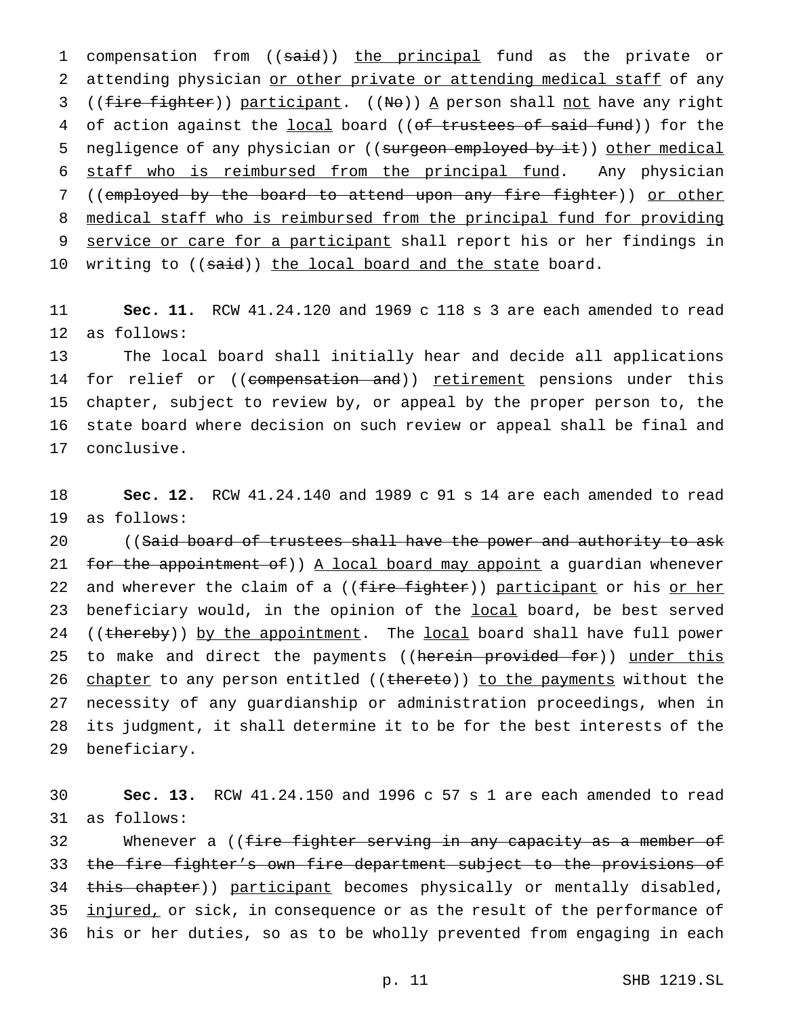1 compensation from ((said)) the principal fund as the private or 2 attending physician or other private or attending medical staff of any 3 ((fire fighter)) participant. ((No)) A person shall not have any right 4 of action against the local board ((of trustees of said fund)) for the 5 negligence of any physician or ((surgeon employed by it)) other medical 6 staff who is reimbursed from the principal fund. Any physician 7 ((employed by the board to attend upon any fire fighter)) or other 8 medical staff who is reimbursed from the principal fund for providing 9 service or care for a participant shall report his or her findings in 10 writing to ((said)) the local board and the state board.

11 **Sec. 11.** RCW 41.24.120 and 1969 c 118 s 3 are each amended to read 12 as follows:

 The local board shall initially hear and decide all applications 14 for relief or ((compensation and)) retirement pensions under this chapter, subject to review by, or appeal by the proper person to, the state board where decision on such review or appeal shall be final and conclusive.

18 **Sec. 12.** RCW 41.24.140 and 1989 c 91 s 14 are each amended to read 19 as follows:

20 ((Said board of trustees shall have the power and authority to ask 21 for the appointment of)) A local board may appoint a guardian whenever 22 and wherever the claim of a ((fire fighter)) participant or his or her 23 beneficiary would, in the opinion of the local board, be best served 24 ((thereby)) by the appointment. The local board shall have full power 25 to make and direct the payments ((herein provided for)) under this 26 chapter to any person entitled ((thereto)) to the payments without the 27 necessity of any guardianship or administration proceedings, when in 28 its judgment, it shall determine it to be for the best interests of the 29 beneficiary.

30 **Sec. 13.** RCW 41.24.150 and 1996 c 57 s 1 are each amended to read 31 as follows:

32 Mhenever a ((<del>fire fighter serving in any capacity as a member of</del> 33 the fire fighter's own fire department subject to the provisions of 34 this chapter)) participant becomes physically or mentally disabled, 35 injured, or sick, in consequence or as the result of the performance of 36 his or her duties, so as to be wholly prevented from engaging in each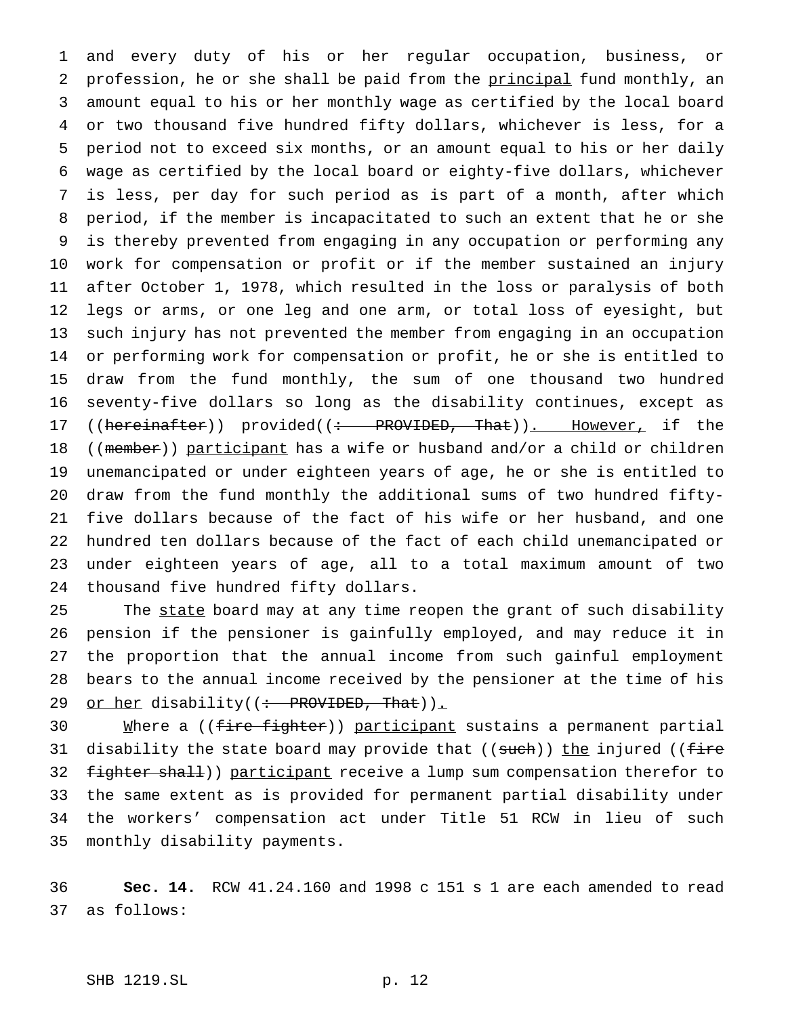and every duty of his or her regular occupation, business, or 2 profession, he or she shall be paid from the principal fund monthly, an amount equal to his or her monthly wage as certified by the local board or two thousand five hundred fifty dollars, whichever is less, for a period not to exceed six months, or an amount equal to his or her daily wage as certified by the local board or eighty-five dollars, whichever is less, per day for such period as is part of a month, after which period, if the member is incapacitated to such an extent that he or she is thereby prevented from engaging in any occupation or performing any work for compensation or profit or if the member sustained an injury after October 1, 1978, which resulted in the loss or paralysis of both legs or arms, or one leg and one arm, or total loss of eyesight, but such injury has not prevented the member from engaging in an occupation or performing work for compensation or profit, he or she is entitled to draw from the fund monthly, the sum of one thousand two hundred seventy-five dollars so long as the disability continues, except as 17 ((hereinafter)) provided((: PROVIDED, That)). However, if the 18 ((member)) participant has a wife or husband and/or a child or children unemancipated or under eighteen years of age, he or she is entitled to draw from the fund monthly the additional sums of two hundred fifty- five dollars because of the fact of his wife or her husband, and one hundred ten dollars because of the fact of each child unemancipated or under eighteen years of age, all to a total maximum amount of two thousand five hundred fifty dollars.

25 The state board may at any time reopen the grant of such disability pension if the pensioner is gainfully employed, and may reduce it in the proportion that the annual income from such gainful employment bears to the annual income received by the pensioner at the time of his 29 or her disability((: PROVIDED, That)).

30 Mhere a ((fire fighter)) participant sustains a permanent partial 31 disability the state board may provide that ((such)) the injured ((fire 32 fighter shall)) participant receive a lump sum compensation therefor to the same extent as is provided for permanent partial disability under the workers' compensation act under Title 51 RCW in lieu of such monthly disability payments.

 **Sec. 14.** RCW 41.24.160 and 1998 c 151 s 1 are each amended to read as follows: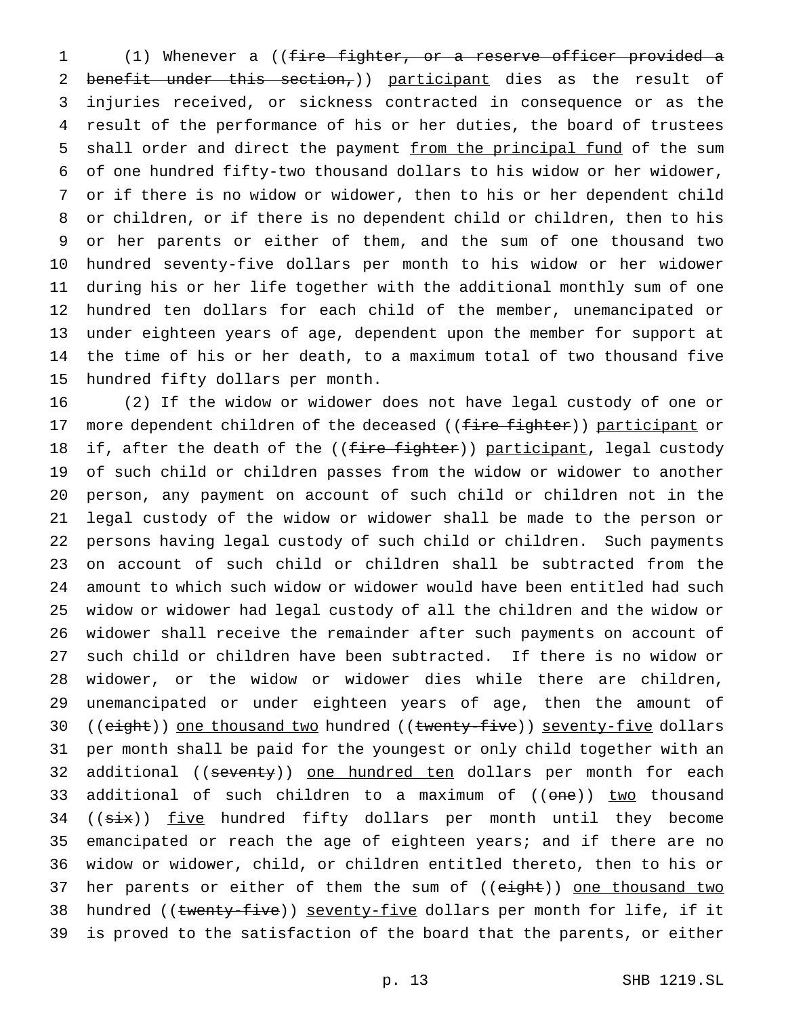(1) Whenever a ((fire fighter, or a reserve officer provided a benefit under this section,)) participant dies as the result of injuries received, or sickness contracted in consequence or as the result of the performance of his or her duties, the board of trustees 5 shall order and direct the payment from the principal fund of the sum of one hundred fifty-two thousand dollars to his widow or her widower, or if there is no widow or widower, then to his or her dependent child or children, or if there is no dependent child or children, then to his or her parents or either of them, and the sum of one thousand two hundred seventy-five dollars per month to his widow or her widower during his or her life together with the additional monthly sum of one hundred ten dollars for each child of the member, unemancipated or under eighteen years of age, dependent upon the member for support at the time of his or her death, to a maximum total of two thousand five hundred fifty dollars per month.

 (2) If the widow or widower does not have legal custody of one or 17 more dependent children of the deceased ((fire fighter)) participant or 18 if, after the death of the ((<del>fire fighter</del>)) participant, legal custody of such child or children passes from the widow or widower to another person, any payment on account of such child or children not in the legal custody of the widow or widower shall be made to the person or persons having legal custody of such child or children. Such payments on account of such child or children shall be subtracted from the amount to which such widow or widower would have been entitled had such widow or widower had legal custody of all the children and the widow or widower shall receive the remainder after such payments on account of such child or children have been subtracted. If there is no widow or widower, or the widow or widower dies while there are children, unemancipated or under eighteen years of age, then the amount of 30 ((eight)) one thousand two hundred ((twenty-five)) seventy-five dollars per month shall be paid for the youngest or only child together with an 32 additional ((seventy)) one hundred ten dollars per month for each 33 additional of such children to a maximum of ((<del>one</del>)) two thousand 34 ((six)) five hundred fifty dollars per month until they become emancipated or reach the age of eighteen years; and if there are no widow or widower, child, or children entitled thereto, then to his or 37 her parents or either of them the sum of ((eight)) one thousand two 38 hundred ((twenty-five)) seventy-five dollars per month for life, if it is proved to the satisfaction of the board that the parents, or either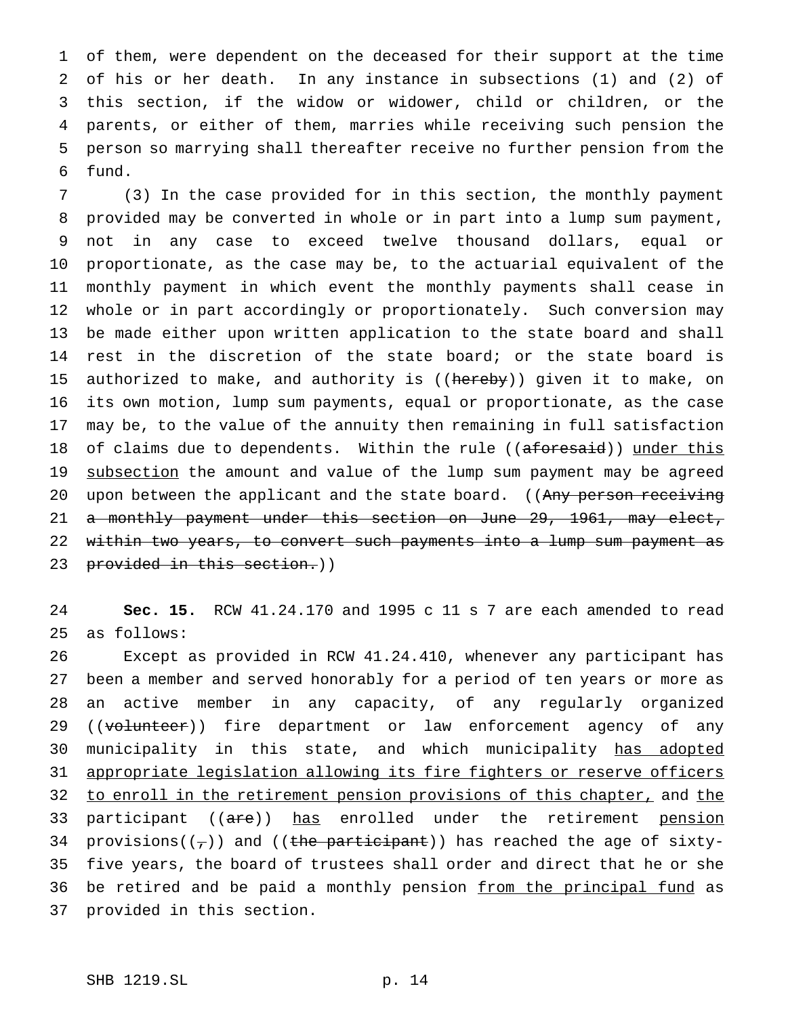of them, were dependent on the deceased for their support at the time of his or her death. In any instance in subsections (1) and (2) of this section, if the widow or widower, child or children, or the parents, or either of them, marries while receiving such pension the person so marrying shall thereafter receive no further pension from the fund.

 (3) In the case provided for in this section, the monthly payment provided may be converted in whole or in part into a lump sum payment, not in any case to exceed twelve thousand dollars, equal or proportionate, as the case may be, to the actuarial equivalent of the monthly payment in which event the monthly payments shall cease in whole or in part accordingly or proportionately. Such conversion may be made either upon written application to the state board and shall rest in the discretion of the state board; or the state board is 15 authorized to make, and authority is ((hereby)) given it to make, on its own motion, lump sum payments, equal or proportionate, as the case may be, to the value of the annuity then remaining in full satisfaction 18 of claims due to dependents. Within the rule ((aforesaid)) under this 19 subsection the amount and value of the lump sum payment may be agreed 20 upon between the applicant and the state board. ((Any person receiving a monthly payment under this section on June 29, 1961, may elect, within two years, to convert such payments into a lump sum payment as 23 provided in this section.))

 **Sec. 15.** RCW 41.24.170 and 1995 c 11 s 7 are each amended to read as follows:

 Except as provided in RCW 41.24.410, whenever any participant has been a member and served honorably for a period of ten years or more as an active member in any capacity, of any regularly organized 29 ((volunteer)) fire department or law enforcement agency of any 30 municipality in this state, and which municipality has adopted appropriate legislation allowing its fire fighters or reserve officers 32 to enroll in the retirement pension provisions of this chapter, and the 33 participant ((are)) has enrolled under the retirement pension 34 provisions( $(\tau)$ ) and ((the participant)) has reached the age of sixty- five years, the board of trustees shall order and direct that he or she 36 be retired and be paid a monthly pension from the principal fund as provided in this section.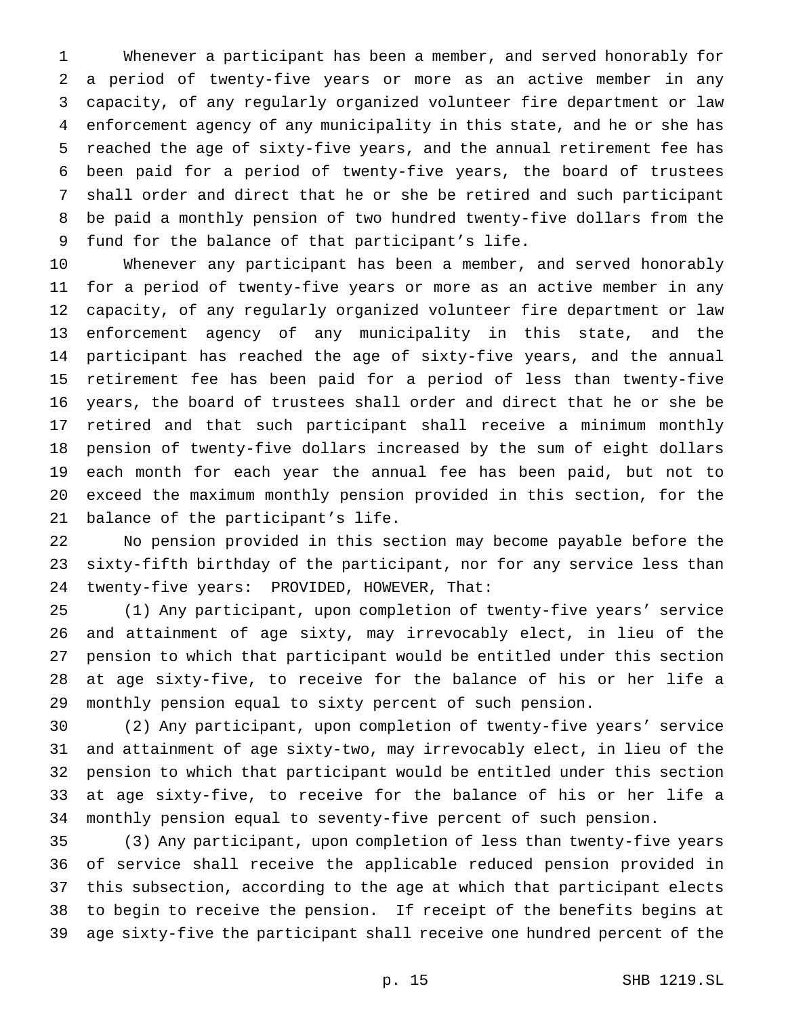Whenever a participant has been a member, and served honorably for a period of twenty-five years or more as an active member in any capacity, of any regularly organized volunteer fire department or law enforcement agency of any municipality in this state, and he or she has reached the age of sixty-five years, and the annual retirement fee has been paid for a period of twenty-five years, the board of trustees shall order and direct that he or she be retired and such participant be paid a monthly pension of two hundred twenty-five dollars from the fund for the balance of that participant's life.

 Whenever any participant has been a member, and served honorably for a period of twenty-five years or more as an active member in any capacity, of any regularly organized volunteer fire department or law enforcement agency of any municipality in this state, and the participant has reached the age of sixty-five years, and the annual retirement fee has been paid for a period of less than twenty-five years, the board of trustees shall order and direct that he or she be retired and that such participant shall receive a minimum monthly pension of twenty-five dollars increased by the sum of eight dollars each month for each year the annual fee has been paid, but not to exceed the maximum monthly pension provided in this section, for the balance of the participant's life.

 No pension provided in this section may become payable before the sixty-fifth birthday of the participant, nor for any service less than twenty-five years: PROVIDED, HOWEVER, That:

 (1) Any participant, upon completion of twenty-five years' service and attainment of age sixty, may irrevocably elect, in lieu of the pension to which that participant would be entitled under this section at age sixty-five, to receive for the balance of his or her life a monthly pension equal to sixty percent of such pension.

 (2) Any participant, upon completion of twenty-five years' service and attainment of age sixty-two, may irrevocably elect, in lieu of the pension to which that participant would be entitled under this section at age sixty-five, to receive for the balance of his or her life a monthly pension equal to seventy-five percent of such pension.

 (3) Any participant, upon completion of less than twenty-five years of service shall receive the applicable reduced pension provided in this subsection, according to the age at which that participant elects to begin to receive the pension. If receipt of the benefits begins at age sixty-five the participant shall receive one hundred percent of the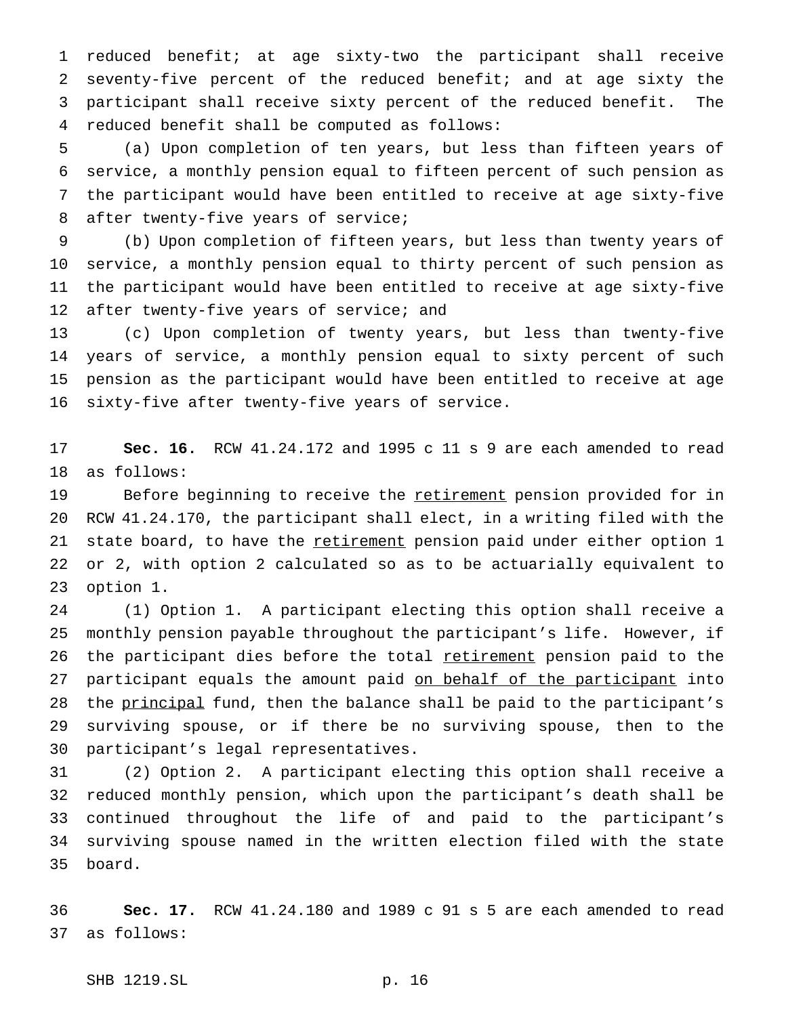reduced benefit; at age sixty-two the participant shall receive seventy-five percent of the reduced benefit; and at age sixty the participant shall receive sixty percent of the reduced benefit. The reduced benefit shall be computed as follows:

 (a) Upon completion of ten years, but less than fifteen years of service, a monthly pension equal to fifteen percent of such pension as the participant would have been entitled to receive at age sixty-five after twenty-five years of service;

 (b) Upon completion of fifteen years, but less than twenty years of service, a monthly pension equal to thirty percent of such pension as the participant would have been entitled to receive at age sixty-five 12 after twenty-five years of service; and

 (c) Upon completion of twenty years, but less than twenty-five years of service, a monthly pension equal to sixty percent of such pension as the participant would have been entitled to receive at age sixty-five after twenty-five years of service.

 **Sec. 16.** RCW 41.24.172 and 1995 c 11 s 9 are each amended to read as follows:

19 Before beginning to receive the retirement pension provided for in RCW 41.24.170, the participant shall elect, in a writing filed with the 21 state board, to have the retirement pension paid under either option 1 or 2, with option 2 calculated so as to be actuarially equivalent to option 1.

 (1) Option 1. A participant electing this option shall receive a monthly pension payable throughout the participant's life. However, if 26 the participant dies before the total retirement pension paid to the 27 participant equals the amount paid on behalf of the participant into 28 the principal fund, then the balance shall be paid to the participant's surviving spouse, or if there be no surviving spouse, then to the participant's legal representatives.

 (2) Option 2. A participant electing this option shall receive a reduced monthly pension, which upon the participant's death shall be continued throughout the life of and paid to the participant's surviving spouse named in the written election filed with the state board.

 **Sec. 17.** RCW 41.24.180 and 1989 c 91 s 5 are each amended to read as follows:

SHB 1219.SL p. 16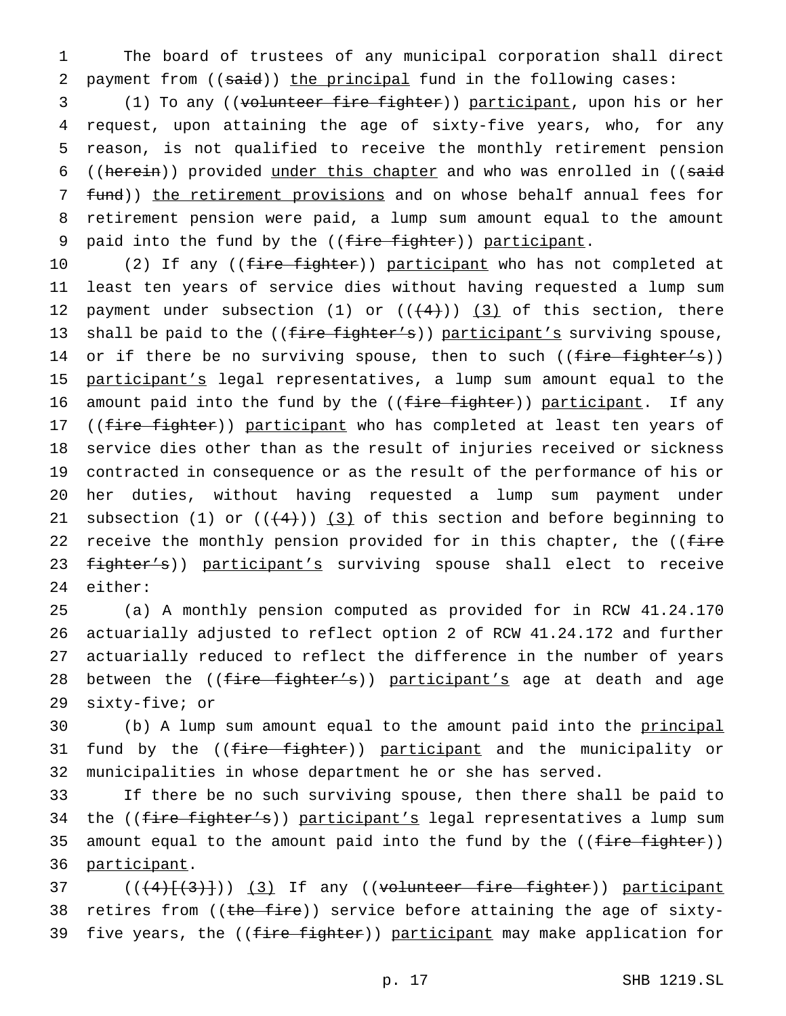1 The board of trustees of any municipal corporation shall direct 2 payment from  $((\text{said}))$  the principal fund in the following cases:

3 (1) To any ((volunteer fire fighter)) participant, upon his or her 4 request, upon attaining the age of sixty-five years, who, for any 5 reason, is not qualified to receive the monthly retirement pension 6 ((herein)) provided under this chapter and who was enrolled in ((said 7 fund)) the retirement provisions and on whose behalf annual fees for 8 retirement pension were paid, a lump sum amount equal to the amount 9 paid into the fund by the ((fire fighter)) participant.

10 (2) If any ((fire fighter)) participant who has not completed at 11 least ten years of service dies without having requested a lump sum 12 payment under subsection (1) or  $((+4))$  (3) of this section, there 13 shall be paid to the  $((fire fighter's))$  participant's surviving spouse, 14 or if there be no surviving spouse, then to such ((fire fighter's)) 15 participant's legal representatives, a lump sum amount equal to the 16 amount paid into the fund by the  $((f<sub>iter</sub> figure))$  participant. If any 17 ((fire fighter)) participant who has completed at least ten years of 18 service dies other than as the result of injuries received or sickness 19 contracted in consequence or as the result of the performance of his or 20 her duties, without having requested a lump sum payment under 21 subsection (1) or  $((+4))$  (3) of this section and before beginning to 22 receive the monthly pension provided for in this chapter, the ((fire 23 fighter's)) participant's surviving spouse shall elect to receive 24 either:

 (a) A monthly pension computed as provided for in RCW 41.24.170 actuarially adjusted to reflect option 2 of RCW 41.24.172 and further actuarially reduced to reflect the difference in the number of years 28 between the ((fire fighter's)) participant's age at death and age sixty-five; or

30 (b) A lump sum amount equal to the amount paid into the principal 31 fund by the ((fire fighter)) participant and the municipality or 32 municipalities in whose department he or she has served.

33 If there be no such surviving spouse, then there shall be paid to 34 the ((fire fighter's)) participant's legal representatives a lump sum 35 amount equal to the amount paid into the fund by the ((fire fighter)) 36 participant.

37 (((4)[(3)])) (3) If any ((volunteer fire fighter)) participant 38 retires from ((the fire)) service before attaining the age of sixty-39 five years, the ((fire fighter)) participant may make application for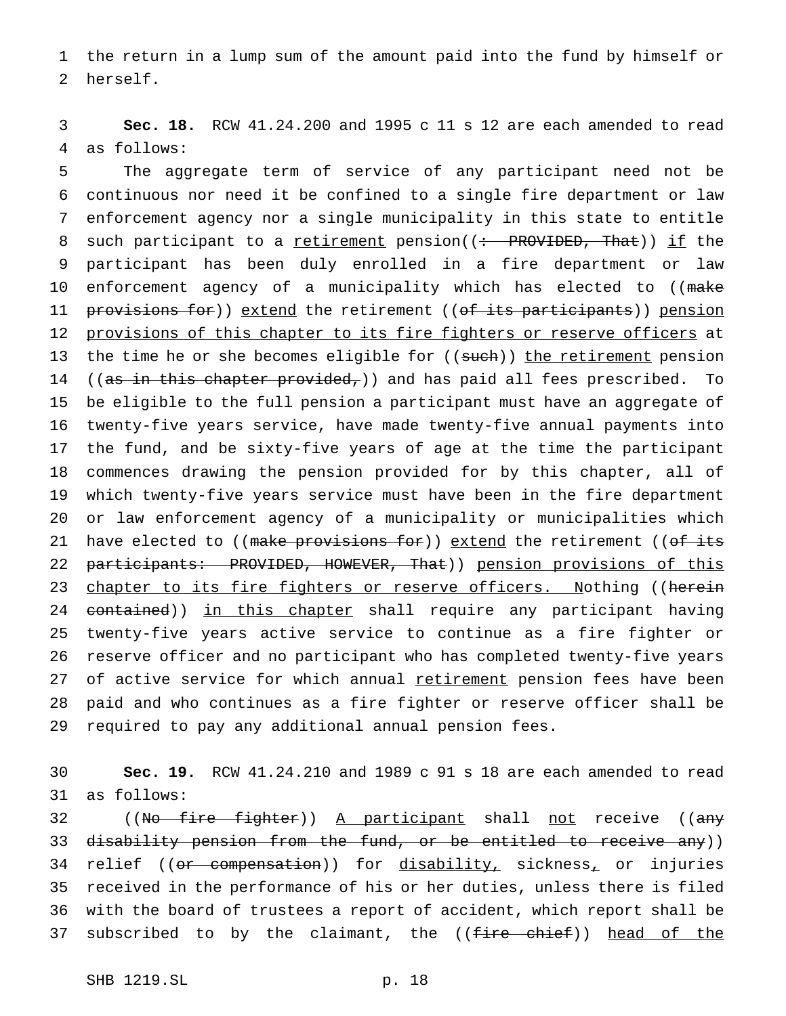the return in a lump sum of the amount paid into the fund by himself or herself.

 **Sec. 18.** RCW 41.24.200 and 1995 c 11 s 12 are each amended to read as follows:

 The aggregate term of service of any participant need not be continuous nor need it be confined to a single fire department or law enforcement agency nor a single municipality in this state to entitle 8 such participant to a retirement pension((: PROVIDED, That)) if the participant has been duly enrolled in a fire department or law enforcement agency of a municipality which has elected to ((make 11 provisions for)) extend the retirement ((of its participants)) pension provisions of this chapter to its fire fighters or reserve officers at 13 the time he or she becomes eligible for ((such)) the retirement pension 14 ((as in this chapter provided,)) and has paid all fees prescribed. To be eligible to the full pension a participant must have an aggregate of twenty-five years service, have made twenty-five annual payments into the fund, and be sixty-five years of age at the time the participant commences drawing the pension provided for by this chapter, all of which twenty-five years service must have been in the fire department or law enforcement agency of a municipality or municipalities which 21 have elected to ((make provisions for)) extend the retirement ((of its 22 participants: PROVIDED, HOWEVER, That)) pension provisions of this 23 chapter to its fire fighters or reserve officers. Nothing ((herein 24 contained)) in this chapter shall require any participant having twenty-five years active service to continue as a fire fighter or reserve officer and no participant who has completed twenty-five years 27 of active service for which annual retirement pension fees have been paid and who continues as a fire fighter or reserve officer shall be required to pay any additional annual pension fees.

 **Sec. 19.** RCW 41.24.210 and 1989 c 91 s 18 are each amended to read as follows:

32 ((No fire fighter)) A participant shall not receive ((any 33 d<del>isability pension from the fund, or be entitled to receive any</del>)) 34 relief ((or compensation)) for disability, sickness, or injuries received in the performance of his or her duties, unless there is filed with the board of trustees a report of accident, which report shall be 37 subscribed to by the claimant, the ((fire chief)) head of the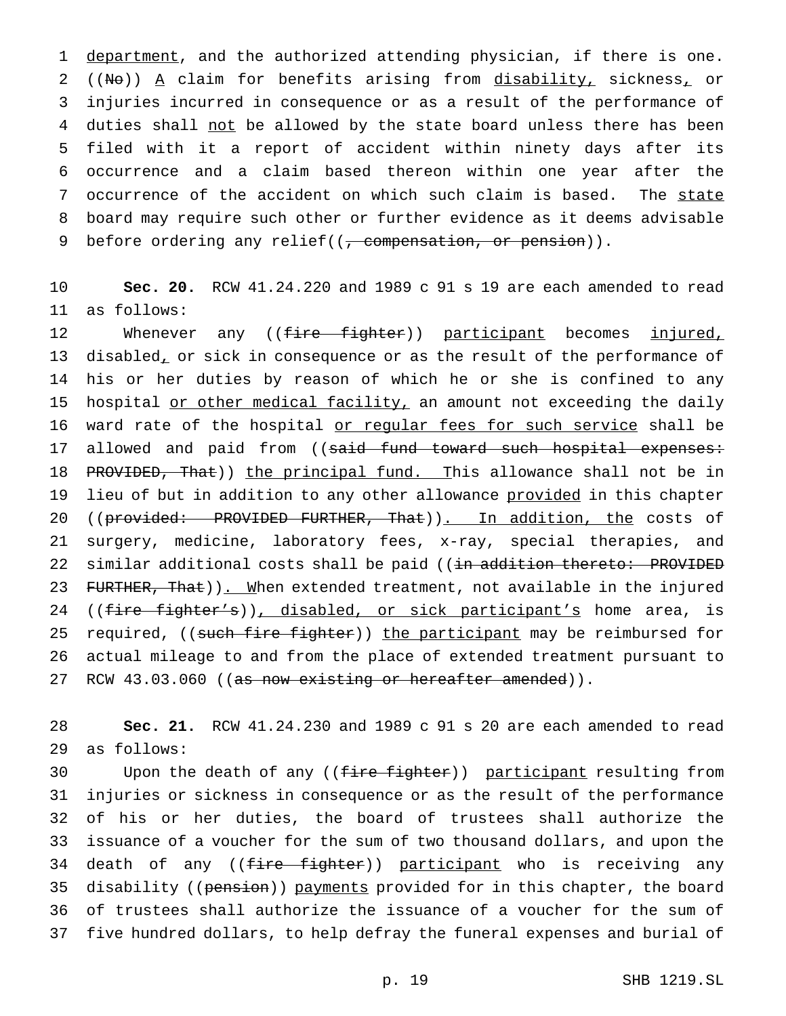1 department, and the authorized attending physician, if there is one. 2 ((No))  $A$  claim for benefits arising from disability, sickness, or 3 injuries incurred in consequence or as a result of the performance of 4 duties shall not be allowed by the state board unless there has been 5 filed with it a report of accident within ninety days after its 6 occurrence and a claim based thereon within one year after the 7 occurrence of the accident on which such claim is based. The state 8 board may require such other or further evidence as it deems advisable 9 before ordering any relief((, compensation, or pension)).

10 **Sec. 20.** RCW 41.24.220 and 1989 c 91 s 19 are each amended to read 11 as follows:

12 Whenever any ((fire fighter)) participant becomes injured, 13 disabled, or sick in consequence or as the result of the performance of 14 his or her duties by reason of which he or she is confined to any 15 hospital or other medical facility, an amount not exceeding the daily 16 ward rate of the hospital or regular fees for such service shall be 17 allowed and paid from ((said fund toward such hospital expenses: 18 PROVIDED, That)) the principal fund. This allowance shall not be in 19 lieu of but in addition to any other allowance provided in this chapter 20 ((provided: PROVIDED FURTHER, That)). In addition, the costs of 21 surgery, medicine, laboratory fees, x-ray, special therapies, and 22 similar additional costs shall be paid ((in addition thereto: PROVIDED 23 FURTHER, That)). When extended treatment, not available in the injured 24 ((fire fighter's)), disabled, or sick participant's home area, is 25 required, ((such fire fighter)) the participant may be reimbursed for 26 actual mileage to and from the place of extended treatment pursuant to 27 RCW 43.03.060 ((as now existing or hereafter amended)).

28 **Sec. 21.** RCW 41.24.230 and 1989 c 91 s 20 are each amended to read 29 as follows:

30 Upon the death of any ((<del>fire fighter</del>)) participant resulting from injuries or sickness in consequence or as the result of the performance of his or her duties, the board of trustees shall authorize the issuance of a voucher for the sum of two thousand dollars, and upon the 34 death of any ((fire fighter)) participant who is receiving any 35 disability ((pension)) payments provided for in this chapter, the board of trustees shall authorize the issuance of a voucher for the sum of five hundred dollars, to help defray the funeral expenses and burial of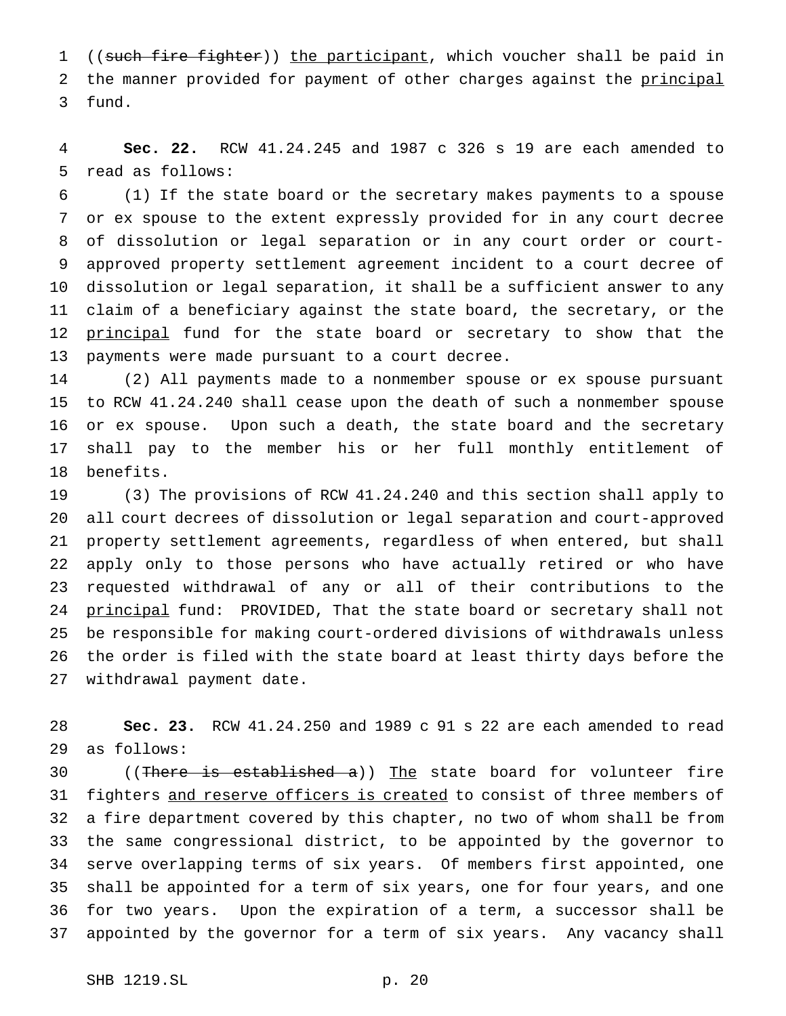1 ((such fire fighter)) the participant, which voucher shall be paid in 2 the manner provided for payment of other charges against the principal fund.

 **Sec. 22.** RCW 41.24.245 and 1987 c 326 s 19 are each amended to read as follows:

 (1) If the state board or the secretary makes payments to a spouse or ex spouse to the extent expressly provided for in any court decree of dissolution or legal separation or in any court order or court- approved property settlement agreement incident to a court decree of dissolution or legal separation, it shall be a sufficient answer to any claim of a beneficiary against the state board, the secretary, or the 12 principal fund for the state board or secretary to show that the payments were made pursuant to a court decree.

 (2) All payments made to a nonmember spouse or ex spouse pursuant to RCW 41.24.240 shall cease upon the death of such a nonmember spouse or ex spouse. Upon such a death, the state board and the secretary shall pay to the member his or her full monthly entitlement of benefits.

 (3) The provisions of RCW 41.24.240 and this section shall apply to all court decrees of dissolution or legal separation and court-approved property settlement agreements, regardless of when entered, but shall apply only to those persons who have actually retired or who have requested withdrawal of any or all of their contributions to the 24 principal fund: PROVIDED, That the state board or secretary shall not be responsible for making court-ordered divisions of withdrawals unless the order is filed with the state board at least thirty days before the withdrawal payment date.

 **Sec. 23.** RCW 41.24.250 and 1989 c 91 s 22 are each amended to read as follows:

30 ((There is established a)) The state board for volunteer fire 31 fighters and reserve officers is created to consist of three members of a fire department covered by this chapter, no two of whom shall be from the same congressional district, to be appointed by the governor to serve overlapping terms of six years. Of members first appointed, one shall be appointed for a term of six years, one for four years, and one for two years. Upon the expiration of a term, a successor shall be appointed by the governor for a term of six years. Any vacancy shall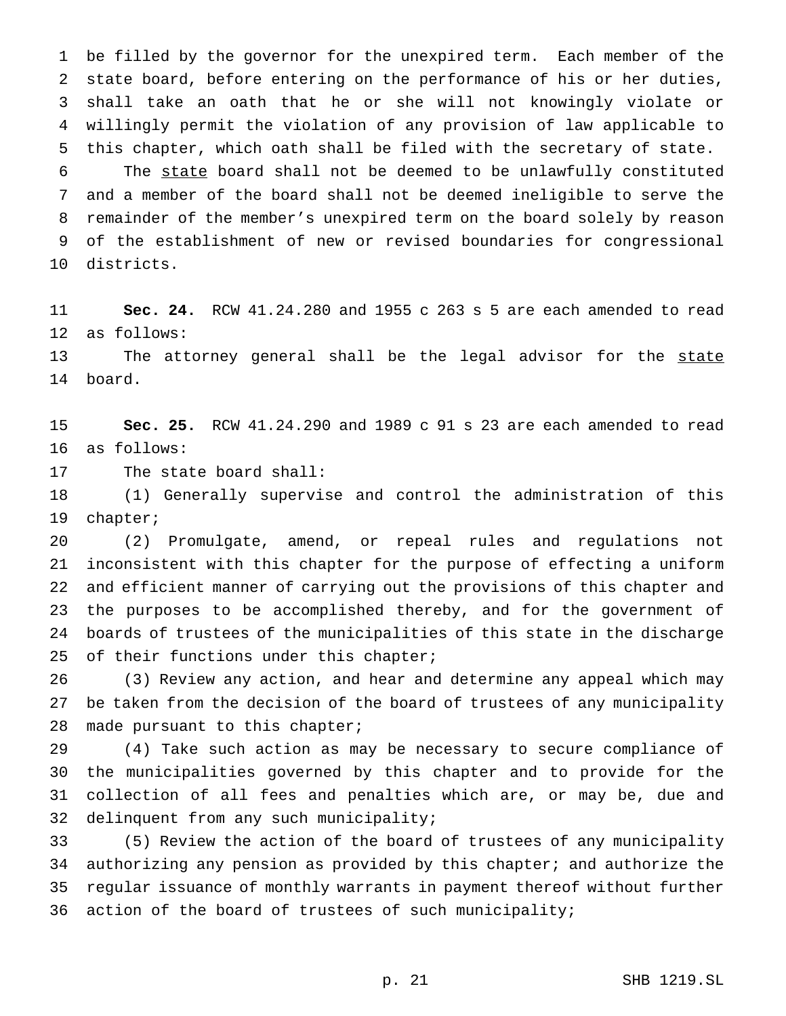be filled by the governor for the unexpired term. Each member of the state board, before entering on the performance of his or her duties, shall take an oath that he or she will not knowingly violate or willingly permit the violation of any provision of law applicable to this chapter, which oath shall be filed with the secretary of state.

 The state board shall not be deemed to be unlawfully constituted and a member of the board shall not be deemed ineligible to serve the remainder of the member's unexpired term on the board solely by reason of the establishment of new or revised boundaries for congressional districts.

 **Sec. 24.** RCW 41.24.280 and 1955 c 263 s 5 are each amended to read as follows:

13 The attorney general shall be the legal advisor for the state board.

 **Sec. 25.** RCW 41.24.290 and 1989 c 91 s 23 are each amended to read as follows:

The state board shall:

 (1) Generally supervise and control the administration of this chapter;

 (2) Promulgate, amend, or repeal rules and regulations not inconsistent with this chapter for the purpose of effecting a uniform and efficient manner of carrying out the provisions of this chapter and the purposes to be accomplished thereby, and for the government of boards of trustees of the municipalities of this state in the discharge 25 of their functions under this chapter;

 (3) Review any action, and hear and determine any appeal which may be taken from the decision of the board of trustees of any municipality made pursuant to this chapter;

 (4) Take such action as may be necessary to secure compliance of the municipalities governed by this chapter and to provide for the collection of all fees and penalties which are, or may be, due and delinquent from any such municipality;

 (5) Review the action of the board of trustees of any municipality authorizing any pension as provided by this chapter; and authorize the regular issuance of monthly warrants in payment thereof without further action of the board of trustees of such municipality;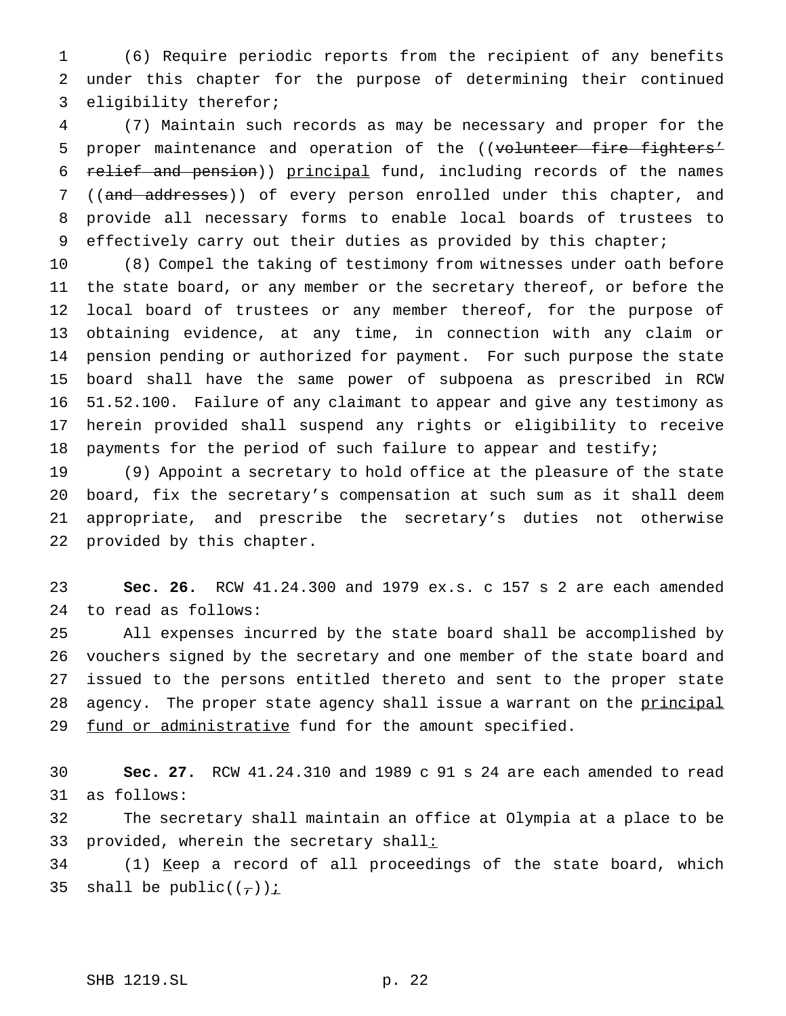(6) Require periodic reports from the recipient of any benefits under this chapter for the purpose of determining their continued eligibility therefor;

 (7) Maintain such records as may be necessary and proper for the 5 proper maintenance and operation of the ((volunteer fire fighters' relief and pension)) principal fund, including records of the names 7 ((and addresses)) of every person enrolled under this chapter, and provide all necessary forms to enable local boards of trustees to effectively carry out their duties as provided by this chapter;

 (8) Compel the taking of testimony from witnesses under oath before the state board, or any member or the secretary thereof, or before the local board of trustees or any member thereof, for the purpose of obtaining evidence, at any time, in connection with any claim or pension pending or authorized for payment. For such purpose the state board shall have the same power of subpoena as prescribed in RCW 51.52.100. Failure of any claimant to appear and give any testimony as herein provided shall suspend any rights or eligibility to receive payments for the period of such failure to appear and testify;

 (9) Appoint a secretary to hold office at the pleasure of the state board, fix the secretary's compensation at such sum as it shall deem appropriate, and prescribe the secretary's duties not otherwise provided by this chapter.

 **Sec. 26.** RCW 41.24.300 and 1979 ex.s. c 157 s 2 are each amended to read as follows:

 All expenses incurred by the state board shall be accomplished by vouchers signed by the secretary and one member of the state board and issued to the persons entitled thereto and sent to the proper state 28 agency. The proper state agency shall issue a warrant on the principal 29 fund or administrative fund for the amount specified.

 **Sec. 27.** RCW 41.24.310 and 1989 c 91 s 24 are each amended to read as follows:

 The secretary shall maintain an office at Olympia at a place to be 33 provided, wherein the secretary shall:

 (1) Keep a record of all proceedings of the state board, which 35 shall be public( $(\tau)$ ) i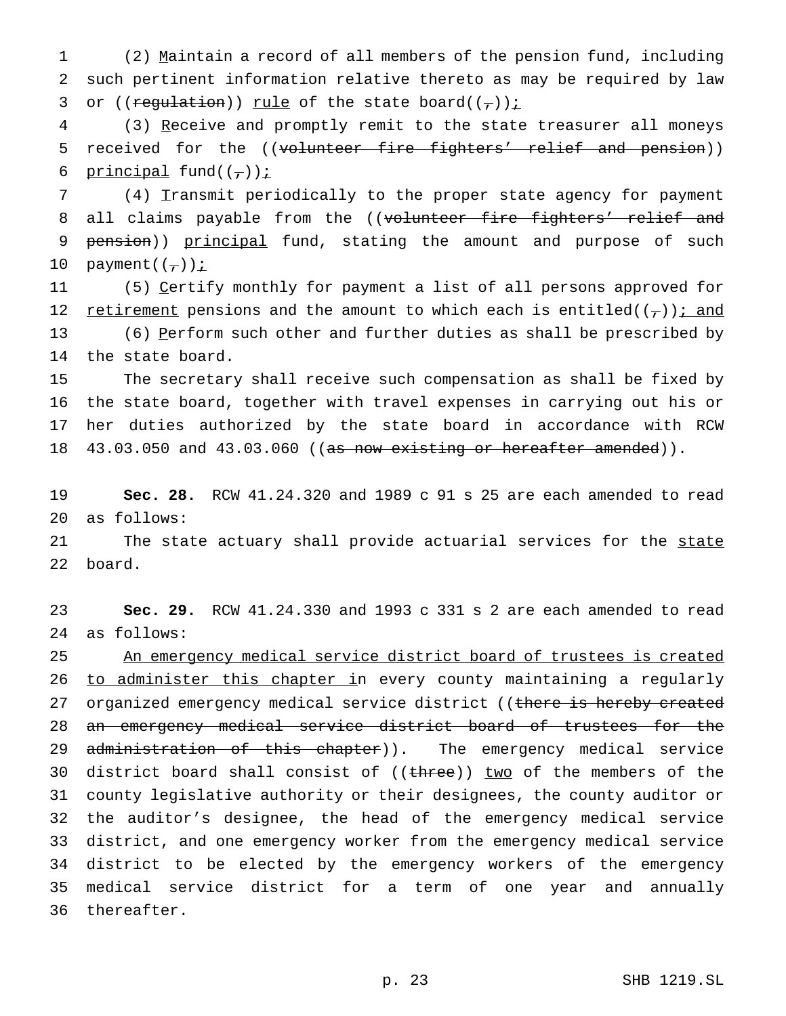1 (2) Maintain a record of all members of the pension fund, including 2 such pertinent information relative thereto as may be required by law 3 or ((regulation)) rule of the state board( $(\tau)$ ) i

4 (3) Receive and promptly remit to the state treasurer all moneys 5 received for the ((volunteer fire fighters' relief and pension)) 6 principal fund( $(\frac{\ }{\ }$ )):

7 (4) Transmit periodically to the proper state agency for payment 8 all claims payable from the ((volunteer fire fighters' relief and 9 pension)) principal fund, stating the amount and purpose of such 10 payment $((\tau))$  *i* 

11 (5) Certify monthly for payment a list of all persons approved for 12 retirement pensions and the amount to which each is entitled( $(\tau)$ ); and 13 (6) Perform such other and further duties as shall be prescribed by 14 the state board.

 The secretary shall receive such compensation as shall be fixed by the state board, together with travel expenses in carrying out his or her duties authorized by the state board in accordance with RCW 18 43.03.050 and 43.03.060 ((as now existing or hereafter amended)).

19 **Sec. 28.** RCW 41.24.320 and 1989 c 91 s 25 are each amended to read 20 as follows:

21 The state actuary shall provide actuarial services for the state 22 board.

23 **Sec. 29.** RCW 41.24.330 and 1993 c 331 s 2 are each amended to read 24 as follows:

25 An emergency medical service district board of trustees is created 26 to administer this chapter in every county maintaining a regularly 27 organized emergency medical service district ((there is hereby created 28 an emergency medical service district board of trustees for the 29 administration of this chapter)). The emergency medical service 30 district board shall consist of ((three)) two of the members of the 31 county legislative authority or their designees, the county auditor or 32 the auditor's designee, the head of the emergency medical service 33 district, and one emergency worker from the emergency medical service 34 district to be elected by the emergency workers of the emergency 35 medical service district for a term of one year and annually 36 thereafter.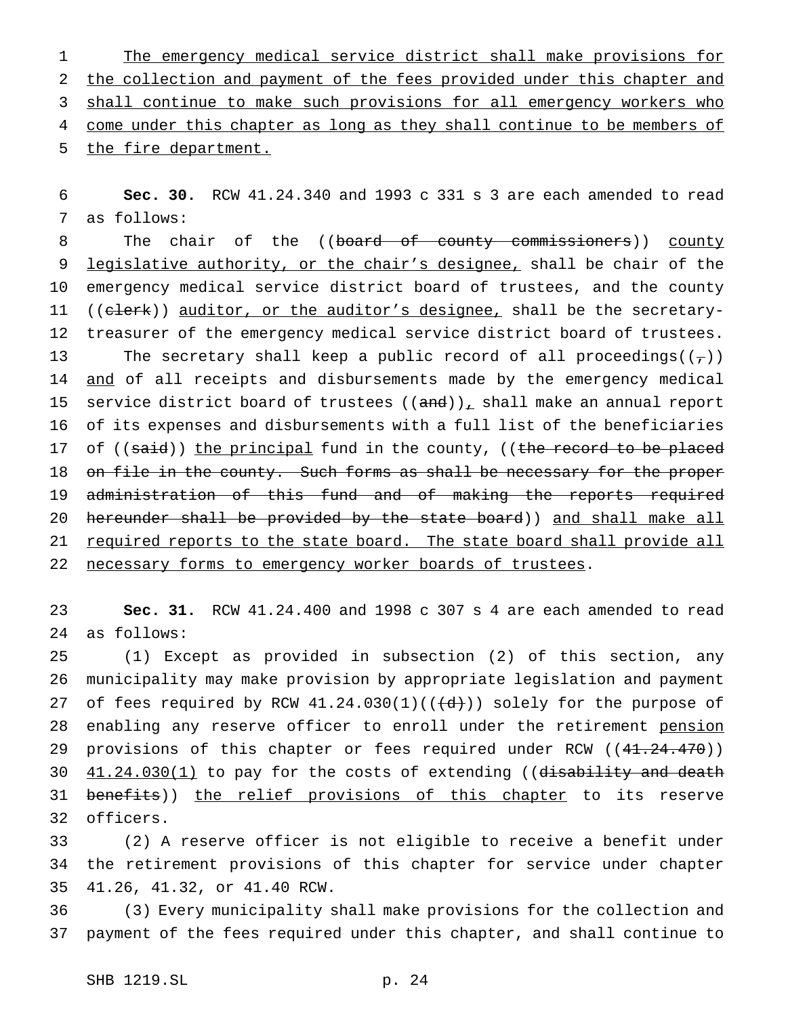1 The emergency medical service district shall make provisions for 2 the collection and payment of the fees provided under this chapter and 3 shall continue to make such provisions for all emergency workers who 4 come under this chapter as long as they shall continue to be members of 5 the fire department.

6 **Sec. 30.** RCW 41.24.340 and 1993 c 331 s 3 are each amended to read 7 as follows:

8 The chair of the ((board of county commissioners)) county 9 legislative authority, or the chair's designee, shall be chair of the 10 emergency medical service district board of trustees, and the county 11 ((elerk)) auditor, or the auditor's designee, shall be the secretary-12 treasurer of the emergency medical service district board of trustees. 13 The secretary shall keep a public record of all proceedings( $(\tau)$ ) 14 and of all receipts and disbursements made by the emergency medical 15 service district board of trustees  $((and))_L$  shall make an annual report 16 of its expenses and disbursements with a full list of the beneficiaries 17 of ((said)) the principal fund in the county, ((the record to be placed 18 on file in the county. Such forms as shall be necessary for the proper 19 administration of this fund and of making the reports required 20 hereunder shall be provided by the state board)) and shall make all 21 required reports to the state board. The state board shall provide all 22 necessary forms to emergency worker boards of trustees.

23 **Sec. 31.** RCW 41.24.400 and 1998 c 307 s 4 are each amended to read 24 as follows:

25 (1) Except as provided in subsection (2) of this section, any 26 municipality may make provision by appropriate legislation and payment 27 of fees required by RCW  $41.24.030(1)((\{\dfrac{d}{d}\})$  solely for the purpose of 28 enabling any reserve officer to enroll under the retirement pension 29 provisions of this chapter or fees required under RCW ((41.24.470)) 30  $41.24.030(1)$  to pay for the costs of extending ((disability and death 31 benefits)) the relief provisions of this chapter to its reserve 32 officers.

33 (2) A reserve officer is not eligible to receive a benefit under 34 the retirement provisions of this chapter for service under chapter 35 41.26, 41.32, or 41.40 RCW.

36 (3) Every municipality shall make provisions for the collection and 37 payment of the fees required under this chapter, and shall continue to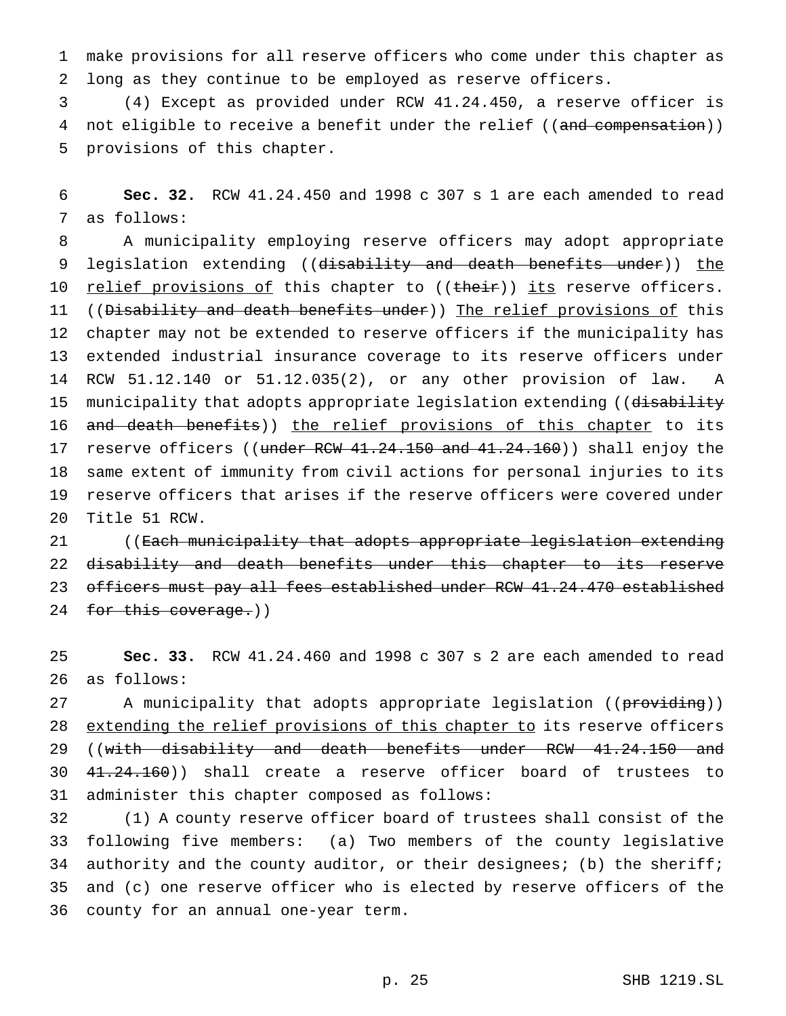make provisions for all reserve officers who come under this chapter as long as they continue to be employed as reserve officers.

 (4) Except as provided under RCW 41.24.450, a reserve officer is 4 not eligible to receive a benefit under the relief ((and compensation)) provisions of this chapter.

 **Sec. 32.** RCW 41.24.450 and 1998 c 307 s 1 are each amended to read as follows:

 A municipality employing reserve officers may adopt appropriate 9 legislation extending ((disability and death benefits under)) the 10 <u>relief provisions of</u> this chapter to ((their)) its reserve officers. 11 ((Disability and death benefits under)) The relief provisions of this chapter may not be extended to reserve officers if the municipality has extended industrial insurance coverage to its reserve officers under RCW 51.12.140 or 51.12.035(2), or any other provision of law. A 15 municipality that adopts appropriate legislation extending ((disability 16 and death benefits)) the relief provisions of this chapter to its 17 reserve officers ((under RCW 41.24.150 and 41.24.160)) shall enjoy the same extent of immunity from civil actions for personal injuries to its reserve officers that arises if the reserve officers were covered under Title 51 RCW.

21 ((<del>Each municipality that adopts appropriate legislation extending</del> 22 disability and death benefits under this chapter to its reserve officers must pay all fees established under RCW 41.24.470 established 24 for this coverage.))

 **Sec. 33.** RCW 41.24.460 and 1998 c 307 s 2 are each amended to read as follows:

27 A municipality that adopts appropriate legislation ((providing)) 28 extending the relief provisions of this chapter to its reserve officers 29 ((with disability and death benefits under RCW 41.24.150 and 41.24.160)) shall create a reserve officer board of trustees to administer this chapter composed as follows:

 (1) A county reserve officer board of trustees shall consist of the following five members: (a) Two members of the county legislative authority and the county auditor, or their designees; (b) the sheriff; and (c) one reserve officer who is elected by reserve officers of the county for an annual one-year term.